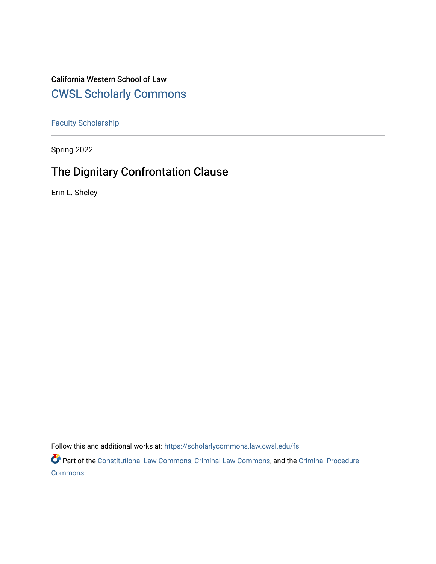## California Western School of Law [CWSL Scholarly Commons](https://scholarlycommons.law.cwsl.edu/)

[Faculty Scholarship](https://scholarlycommons.law.cwsl.edu/fs)

Spring 2022

# The Dignitary Confrontation Clause

Erin L. Sheley

Follow this and additional works at: [https://scholarlycommons.law.cwsl.edu/fs](https://scholarlycommons.law.cwsl.edu/fs?utm_source=scholarlycommons.law.cwsl.edu%2Ffs%2F385&utm_medium=PDF&utm_campaign=PDFCoverPages)

Part of the [Constitutional Law Commons,](https://network.bepress.com/hgg/discipline/589?utm_source=scholarlycommons.law.cwsl.edu%2Ffs%2F385&utm_medium=PDF&utm_campaign=PDFCoverPages) [Criminal Law Commons,](https://network.bepress.com/hgg/discipline/912?utm_source=scholarlycommons.law.cwsl.edu%2Ffs%2F385&utm_medium=PDF&utm_campaign=PDFCoverPages) and the [Criminal Procedure](https://network.bepress.com/hgg/discipline/1073?utm_source=scholarlycommons.law.cwsl.edu%2Ffs%2F385&utm_medium=PDF&utm_campaign=PDFCoverPages)  [Commons](https://network.bepress.com/hgg/discipline/1073?utm_source=scholarlycommons.law.cwsl.edu%2Ffs%2F385&utm_medium=PDF&utm_campaign=PDFCoverPages)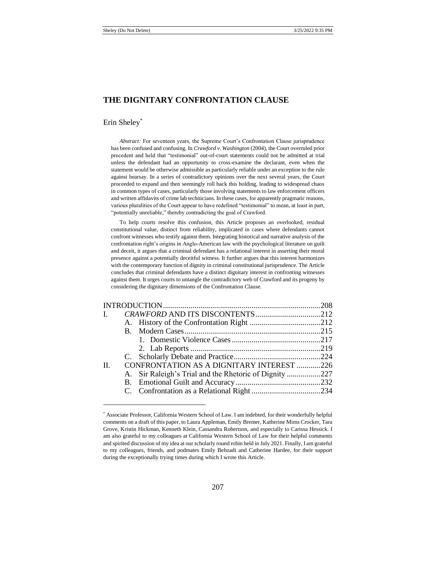## **THE DIGNITARY CONFRONTATION CLAUSE**

#### Erin Sheley\*

*Abstract:* For seventeen years, the Supreme Court's Confrontation Clause jurisprudence has been confused and confusing. In *Crawford v. Washington* (2004), the Court overruled prior precedent and held that "testimonial" out-of-court statements could not be admitted at trial unless the defendant had an opportunity to cross-examine the declarant, even when the statement would be otherwise admissible as particularly reliable under an exception to the rule against hearsay. In a series of contradictory opinions over the next several years, the Court proceeded to expand and then seemingly roll back this holding, leading to widespread chaos in common types of cases, particularly those involving statements to law enforcement officers and written affidavits of crime lab technicians. In these cases, for apparently pragmatic reasons, various pluralities of the Court appear to have redefined "testimonial" to mean, at least in part, "potentially unreliable," thereby contradicting the goal of Crawford.

To help courts resolve this confusion, this Article proposes an overlooked, residual constitutional value, distinct from reliability, implicated in cases where defendants cannot confront witnesses who testify against them. Integrating historical and narrative analysis of the confrontation right's origins in Anglo-American law with the psychological literature on guilt and deceit, it argues that a criminal defendant has a relational interest in asserting their moral presence against a potentially deceitful witness. It further argues that this interest harmonizes with the contemporary function of dignity in criminal constitutional jurisprudence. The Article concludes that criminal defendants have a distinct dignitary interest in confronting witnesses against them. It urges courts to untangle the contradictory web of Crawford and its progeny by considering the dignitary dimensions of the Confrontation Clause.

|  | CONFRONTATION AS A DIGNITARY INTEREST 226<br>A. Sir Raleigh's Trial and the Rhetoric of Dignity 227 |
|--|-----------------------------------------------------------------------------------------------------|

<sup>\*</sup> Associate Professor, California Western School of Law. I am indebted, for their wonderfully helpful comments on a draft of this paper, to Laura Appleman, Emily Bremer, Katherine Mims Crocker, Tara Grove, Kristin Hickman, Kenneth Klein, Cassandra Robertson, and especially to Carissa Hessick. I am also grateful to my colleagues at California Western School of Law for their helpful comments and spirited discussion of my idea at our scholarly round robin held in July 2021. Finally, I am grateful to my colleagues, friends, and podmates Emily Behzadi and Catherine Hardee, for their support during the exceptionally trying times during which I wrote this Article.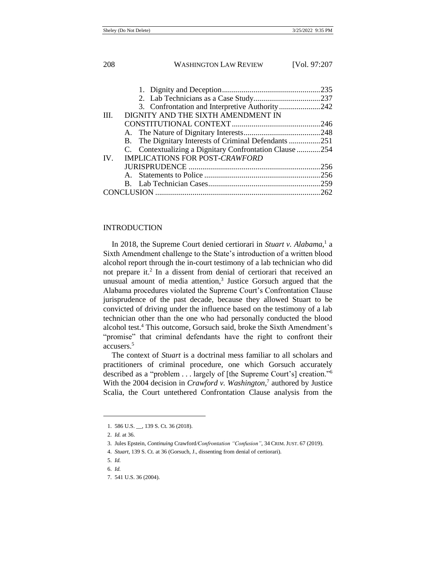| 3. Confrontation and Interpretive Authority242          |
|---------------------------------------------------------|
|                                                         |
|                                                         |
|                                                         |
| B. The Dignitary Interests of Criminal Defendants 251   |
| C. Contextualizing a Dignitary Confrontation Clause 254 |
|                                                         |
|                                                         |
|                                                         |
|                                                         |
|                                                         |
|                                                         |

## INTRODUCTION

<span id="page-2-0"></span>In 2018, the Supreme Court denied certiorari in *Stuart v. Alabama*, 1 a Sixth Amendment challenge to the State's introduction of a written blood alcohol report through the in-court testimony of a lab technician who did not prepare it.<sup>2</sup> In a dissent from denial of certiorari that received an unusual amount of media attention, $3$  Justice Gorsuch argued that the Alabama procedures violated the Supreme Court's Confrontation Clause jurisprudence of the past decade, because they allowed Stuart to be convicted of driving under the influence based on the testimony of a lab technician other than the one who had personally conducted the blood alcohol test.<sup>4</sup> This outcome, Gorsuch said, broke the Sixth Amendment's "promise" that criminal defendants have the right to confront their accusers.<sup>5</sup>

The context of *Stuart* is a doctrinal mess familiar to all scholars and practitioners of criminal procedure, one which Gorsuch accurately described as a "problem . . . largely of [the Supreme Court's] creation."<sup>6</sup> With the 2004 decision in *Crawford v. Washington*,<sup>7</sup> authored by Justice Scalia, the Court untethered Confrontation Clause analysis from the

<sup>1.</sup> 586 U.S. \_\_, 139 S. Ct. 36 (2018).

<sup>2.</sup> *Id.* at 36.

<sup>3.</sup> Jules Epstein, *Continuing* Crawford*/Confrontation "Confusion"*, 34 CRIM. JUST. 67 (2019).

<sup>4.</sup> *Stuart*, 139 S. Ct. at 36 (Gorsuch, J., dissenting from denial of certiorari).

<sup>5.</sup> *Id.*

<sup>6.</sup> *Id.*

<sup>7.</sup> 541 U.S. 36 (2004).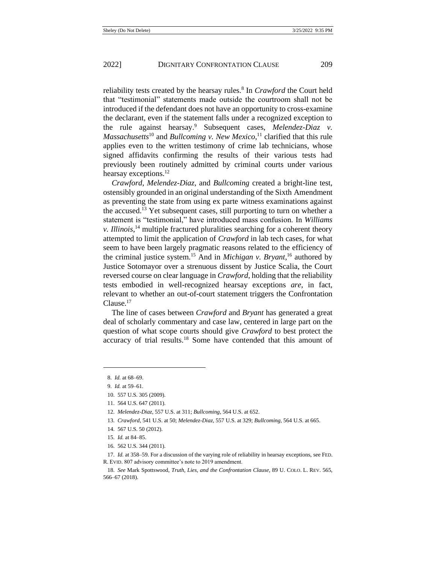reliability tests created by the hearsay rules.<sup>8</sup> In *Crawford* the Court held that "testimonial" statements made outside the courtroom shall not be introduced if the defendant does not have an opportunity to cross-examine the declarant, even if the statement falls under a recognized exception to the rule against hearsay.<sup>9</sup> Subsequent cases, *Melendez-Diaz v. Massachusetts*<sup>10</sup> and *Bullcoming v. New Mexico*, <sup>11</sup> clarified that this rule applies even to the written testimony of crime lab technicians, whose signed affidavits confirming the results of their various tests had previously been routinely admitted by criminal courts under various hearsay exceptions.<sup>12</sup>

*Crawford*, *Melendez-Diaz*, and *Bullcoming* created a bright-line test, ostensibly grounded in an original understanding of the Sixth Amendment as preventing the state from using ex parte witness examinations against the accused.<sup>13</sup> Yet subsequent cases, still purporting to turn on whether a statement is "testimonial," have introduced mass confusion. In *Williams v. Illinois*, <sup>14</sup> multiple fractured pluralities searching for a coherent theory attempted to limit the application of *Crawford* in lab tech cases, for what seem to have been largely pragmatic reasons related to the efficiency of the criminal justice system.<sup>15</sup> And in *Michigan v. Bryant*, <sup>16</sup> authored by Justice Sotomayor over a strenuous dissent by Justice Scalia, the Court reversed course on clear language in *Crawford*, holding that the reliability tests embodied in well-recognized hearsay exceptions *are*, in fact, relevant to whether an out-of-court statement triggers the Confrontation Clause.<sup>17</sup>

<span id="page-3-0"></span>The line of cases between *Crawford* and *Bryant* has generated a great deal of scholarly commentary and case law, centered in large part on the question of what scope courts should give *Crawford* to best protect the accuracy of trial results.<sup>18</sup> Some have contended that this amount of

16. 562 U.S. 344 (2011).

<sup>8.</sup> *Id.* at 68–69.

<sup>9.</sup> *Id.* at 59–61*.* 

<sup>10.</sup> 557 U.S. 305 (2009).

<sup>11.</sup> 564 U.S. 647 (2011).

<sup>12.</sup> *Melendez-Diaz*, 557 U.S. at 311; *Bullcoming*, 564 U.S. at 652.

<sup>13.</sup> *Crawford*, 541 U.S. at 50; *Melendez-Diaz*, 557 U.S. at 329; *Bullcoming*, 564 U.S. at 665.

<sup>14.</sup> 567 U.S. 50 (2012).

<sup>15.</sup> *Id.* at 84–85.

<sup>17.</sup> *Id.* at 358–59. For a discussion of the varying role of reliability in hearsay exceptions, see FED. R. EVID. 807 advisory committee's note to 2019 amendment.

<sup>18.</sup> *See* Mark Spottswood, *Truth, Lies, and the Confrontation Clause*, 89 U. COLO. L. REV. 565, 566–67 (2018).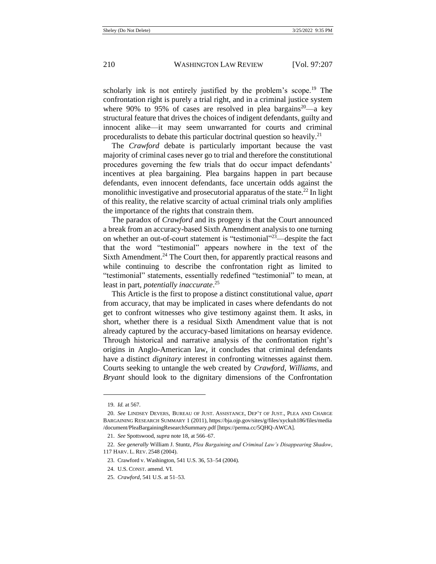scholarly ink is not entirely justified by the problem's scope.<sup>19</sup> The confrontation right is purely a trial right, and in a criminal justice system where 90% to 95% of cases are resolved in plea bargains<sup>20</sup>—a key structural feature that drives the choices of indigent defendants, guilty and innocent alike—it may seem unwarranted for courts and criminal proceduralists to debate this particular doctrinal question so heavily.<sup>21</sup>

The *Crawford* debate is particularly important because the vast majority of criminal cases never go to trial and therefore the constitutional procedures governing the few trials that do occur impact defendants' incentives at plea bargaining. Plea bargains happen in part because defendants, even innocent defendants, face uncertain odds against the monolithic investigative and prosecutorial apparatus of the state.<sup>22</sup> In light of this reality, the relative scarcity of actual criminal trials only amplifies the importance of the rights that constrain them.

<span id="page-4-0"></span>The paradox of *Crawford* and its progeny is that the Court announced a break from an accuracy-based Sixth Amendment analysis to one turning on whether an out-of-court statement is "testimonial"<sup>23</sup>—despite the fact that the word "testimonial" appears nowhere in the text of the Sixth Amendment.<sup>24</sup> The Court then, for apparently practical reasons and while continuing to describe the confrontation right as limited to "testimonial" statements, essentially redefined "testimonial" to mean, at least in part, *potentially inaccurate*. 25

This Article is the first to propose a distinct constitutional value, *apart*  from accuracy, that may be implicated in cases where defendants do not get to confront witnesses who give testimony against them. It asks, in short, whether there is a residual Sixth Amendment value that is not already captured by the accuracy-based limitations on hearsay evidence. Through historical and narrative analysis of the confrontation right's origins in Anglo-American law, it concludes that criminal defendants have a distinct *dignitary* interest in confronting witnesses against them. Courts seeking to untangle the web created by *Crawford*, *Williams*, and *Bryant* should look to the dignitary dimensions of the Confrontation

<sup>19.</sup> *Id.* at 567.

<sup>20.</sup> *See* LINDSEY DEVERS, BUREAU OF JUST. ASSISTANCE, DEP'T OF JUST., PLEA AND CHARGE BARGAINING RESEARCH SUMMARY 1 (2011), https://bja.ojp.gov/sites/g/files/xyckuh186/files/media /document/PleaBargainingResearchSummary.pdf [https://perma.cc/5QHQ-AWCA].

<sup>21.</sup> *See* Spottswood, *supra* not[e 18,](#page-3-0) at 566–67.

<sup>22.</sup> *See generally* William J. Stuntz, *Plea Bargaining and Criminal Law's Disappearing Shadow*, 117 HARV. L. REV. 2548 (2004).

<sup>23.</sup> Crawford v. Washington, 541 U.S. 36, 53–54 (2004).

<sup>24.</sup> U.S. CONST. amend. VI.

<sup>25.</sup> *Crawford*, 541 U.S. at 51–53.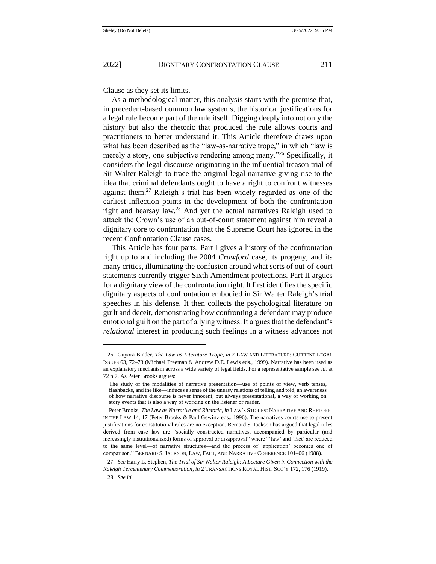Clause as they set its limits.

As a methodological matter, this analysis starts with the premise that, in precedent-based common law systems, the historical justifications for a legal rule become part of the rule itself. Digging deeply into not only the history but also the rhetoric that produced the rule allows courts and practitioners to better understand it. This Article therefore draws upon what has been described as the "law-as-narrative trope," in which "law is merely a story, one subjective rendering among many."<sup>26</sup> Specifically, it considers the legal discourse originating in the influential treason trial of Sir Walter Raleigh to trace the original legal narrative giving rise to the idea that criminal defendants ought to have a right to confront witnesses against them.<sup>27</sup> Raleigh's trial has been widely regarded as one of the earliest inflection points in the development of both the confrontation right and hearsay law.<sup>28</sup> And yet the actual narratives Raleigh used to attack the Crown's use of an out-of-court statement against him reveal a dignitary core to confrontation that the Supreme Court has ignored in the recent Confrontation Clause cases.

This Article has four parts. Part I gives a history of the confrontation right up to and including the 2004 *Crawford* case, its progeny, and its many critics, illuminating the confusion around what sorts of out-of-court statements currently trigger Sixth Amendment protections. Part II argues for a dignitary view of the confrontation right. It first identifies the specific dignitary aspects of confrontation embodied in Sir Walter Raleigh's trial speeches in his defense. It then collects the psychological literature on guilt and deceit, demonstrating how confronting a defendant may produce emotional guilt on the part of a lying witness. It argues that the defendant's *relational* interest in producing such feelings in a witness advances not

<sup>26.</sup> Guyora Binder, *The Law-as-Literature Trope*, *in* 2 LAW AND LITERATURE: CURRENT LEGAL ISSUES 63, 72–73 (Michael Freeman & Andrew D.E. Lewis eds., 1999). Narrative has been used as an explanatory mechanism across a wide variety of legal fields. For a representative sample see *id.* at 72 n.7. As Peter Brooks argues:

The study of the modalities of narrative presentation—use of points of view, verb tenses, flashbacks, and the like—induces a sense of the uneasy relations of telling and told, an awareness of how narrative discourse is never innocent, but always presentational, a way of working on story events that is also a way of working on the listener or reader.

Peter Brooks, *The Law as Narrative and Rhetoric*, *in* LAW'S STORIES: NARRATIVE AND RHETORIC IN THE LAW 14, 17 (Peter Brooks & Paul Gewirtz eds., 1996). The narratives courts use to present justifications for constitutional rules are no exception. Bernard S. Jackson has argued that legal rules derived from case law are "socially constructed narratives, accompanied by particular (and increasingly institutionalized) forms of approval or disapproval" where "'law' and 'fact' are reduced to the same level—of narrative structures—and the process of 'application' becomes one of comparison." BERNARD S. JACKSON, LAW, FACT, AND NARRATIVE COHERENCE 101–06 (1988).

<sup>27.</sup> *See* Harry L. Stephen, *The Trial of Sir Walter Raleigh: A Lecture Given in Connection with the Raleigh Tercentenary Commemoration*, *in* 2 TRANSACTIONS ROYAL HIST. SOC'Y 172, 176 (1919). 28. *See id.*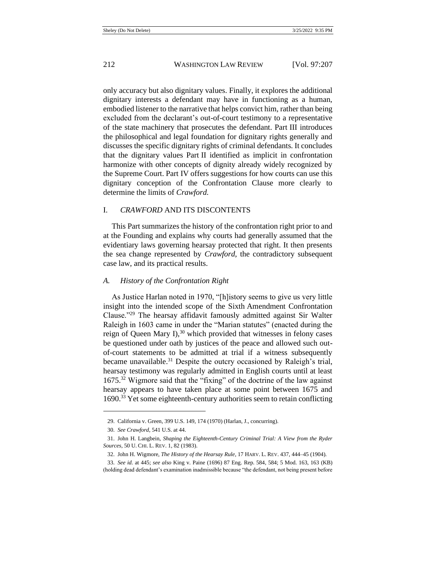only accuracy but also dignitary values. Finally, it explores the additional dignitary interests a defendant may have in functioning as a human, embodied listener to the narrative that helps convict him, rather than being excluded from the declarant's out-of-court testimony to a representative of the state machinery that prosecutes the defendant. Part III introduces the philosophical and legal foundation for dignitary rights generally and discusses the specific dignitary rights of criminal defendants. It concludes that the dignitary values Part II identified as implicit in confrontation harmonize with other concepts of dignity already widely recognized by the Supreme Court. Part IV offers suggestions for how courts can use this dignitary conception of the Confrontation Clause more clearly to determine the limits of *Crawford.*

## I. *CRAWFORD* AND ITS DISCONTENTS

This Part summarizes the history of the confrontation right prior to and at the Founding and explains why courts had generally assumed that the evidentiary laws governing hearsay protected that right. It then presents the sea change represented by *Crawford*, the contradictory subsequent case law, and its practical results.

#### *A. History of the Confrontation Right*

As Justice Harlan noted in 1970, "[h]istory seems to give us very little insight into the intended scope of the Sixth Amendment Confrontation Clause."<sup>29</sup> The hearsay affidavit famously admitted against Sir Walter Raleigh in 1603 came in under the "Marian statutes" (enacted during the reign of Queen Mary I), $30$  which provided that witnesses in felony cases be questioned under oath by justices of the peace and allowed such outof-court statements to be admitted at trial if a witness subsequently became unavailable.<sup>31</sup> Despite the outcry occasioned by Raleigh's trial, hearsay testimony was regularly admitted in English courts until at least 1675.<sup>32</sup> Wigmore said that the "fixing" of the doctrine of the law against hearsay appears to have taken place at some point between 1675 and 1690.<sup>33</sup> Yet some eighteenth-century authorities seem to retain conflicting

<sup>29.</sup> California v. Green, 399 U.S. 149, 174 (1970) (Harlan, J., concurring).

<sup>30.</sup> *See Crawford*, 541 U.S. at 44.

<sup>31.</sup> John H. Langbein, *Shaping the Eighteenth-Century Criminal Trial: A View from the Ryder Sources*, 50 U. CHI. L. REV. 1, 82 (1983).

<sup>32.</sup> John H. Wigmore, *The History of the Hearsay Rule*, 17 HARV. L. REV. 437, 444–45 (1904).

<sup>33.</sup> *See id.* at 445; *see also* King v. Paine (1696) 87 Eng. Rep. 584, 584; 5 Mod. 163, 163 (KB) (holding dead defendant's examination inadmissible because "the defendant, not being present before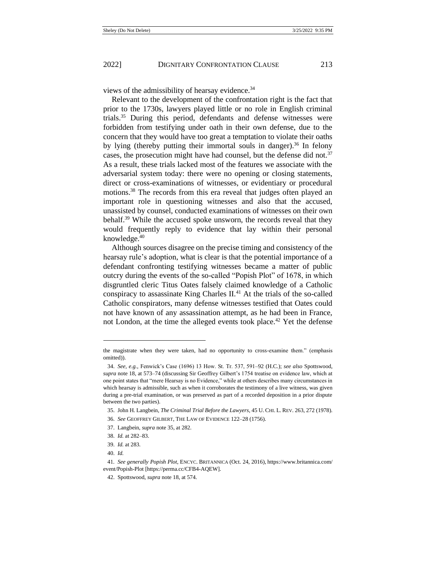views of the admissibility of hearsay evidence.<sup>34</sup>

<span id="page-7-0"></span>Relevant to the development of the confrontation right is the fact that prior to the 1730s, lawyers played little or no role in English criminal trials.<sup>35</sup> During this period, defendants and defense witnesses were forbidden from testifying under oath in their own defense, due to the concern that they would have too great a temptation to violate their oaths by lying (thereby putting their immortal souls in danger).<sup>36</sup> In felony cases, the prosecution might have had counsel, but the defense did not.<sup>37</sup> As a result, these trials lacked most of the features we associate with the adversarial system today: there were no opening or closing statements, direct or cross-examinations of witnesses, or evidentiary or procedural motions.<sup>38</sup> The records from this era reveal that judges often played an important role in questioning witnesses and also that the accused, unassisted by counsel, conducted examinations of witnesses on their own behalf.<sup>39</sup> While the accused spoke unsworn, the records reveal that they would frequently reply to evidence that lay within their personal knowledge. $40$ 

<span id="page-7-1"></span>Although sources disagree on the precise timing and consistency of the hearsay rule's adoption, what is clear is that the potential importance of a defendant confronting testifying witnesses became a matter of public outcry during the events of the so-called "Popish Plot" of 1678, in which disgruntled cleric Titus Oates falsely claimed knowledge of a Catholic conspiracy to assassinate King Charles  $II^{41}$ . At the trials of the so-called Catholic conspirators, many defense witnesses testified that Oates could not have known of any assassination attempt, as he had been in France, not London, at the time the alleged events took place.<sup>42</sup> Yet the defense

the magistrate when they were taken, had no opportunity to cross-examine them." (emphasis omitted)).

<sup>34.</sup> *See, e.g.*, Fenwick's Case (1696) 13 How. St. Tr. 537, 591–92 (H.C.); *see also* Spottswood, *supra* not[e 18,](#page-3-0) at 573–74 (discussing Sir Geoffrey Gilbert's 1754 treatise on evidence law, which at one point states that "mere Hearsay is no Evidence," while at others describes many circumstances in which hearsay is admissible, such as when it corroborates the testimony of a live witness, was given during a pre-trial examination, or was preserved as part of a recorded deposition in a prior dispute between the two parties).

<sup>35.</sup> John H. Langbein, *The Criminal Trial Before the Lawyers*, 45 U. CHI. L. REV. 263, 272 (1978).

<sup>36.</sup> *See* GEOFFREY GILBERT, THE LAW OF EVIDENCE 122–28 (1756).

<sup>37.</sup> Langbein, *supra* not[e 35,](#page-7-0) at 282.

<sup>38.</sup> *Id.* at 282–83.

<sup>39.</sup> *Id.* at 283.

<sup>40.</sup> *Id.*

<sup>41</sup>*. See generally Popish Plot*, ENCYC. BRITANNICA (Oct. 24, 2016), https://www.britannica.com/ event/Popish-Plot [https://perma.cc/CFB4-AQEW].

<sup>42.</sup> Spottswood, *supra* note [18,](#page-3-0) at 574.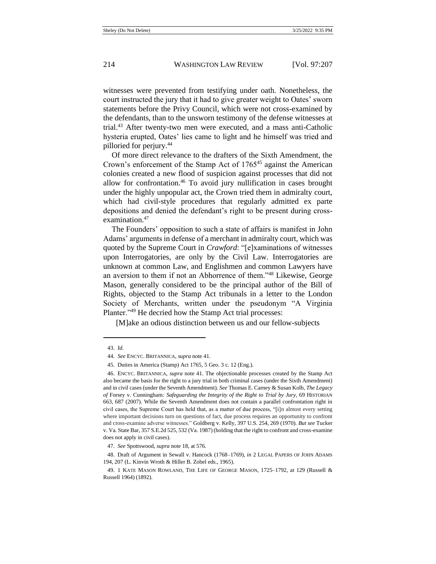witnesses were prevented from testifying under oath. Nonetheless, the court instructed the jury that it had to give greater weight to Oates' sworn statements before the Privy Council, which were not cross-examined by the defendants, than to the unsworn testimony of the defense witnesses at trial.<sup>43</sup> After twenty-two men were executed, and a mass anti-Catholic hysteria erupted, Oates' lies came to light and he himself was tried and pilloried for perjury.<sup>44</sup>

Of more direct relevance to the drafters of the Sixth Amendment, the Crown's enforcement of the Stamp Act of 1765<sup>45</sup> against the American colonies created a new flood of suspicion against processes that did not allow for confrontation.<sup>46</sup> To avoid jury nullification in cases brought under the highly unpopular act, the Crown tried them in admiralty court, which had civil-style procedures that regularly admitted ex parte depositions and denied the defendant's right to be present during crossexamination.<sup>47</sup>

The Founders' opposition to such a state of affairs is manifest in John Adams' arguments in defense of a merchant in admiralty court, which was quoted by the Supreme Court in *Crawford*: "[e]xaminations of witnesses upon Interrogatories, are only by the Civil Law. Interrogatories are unknown at common Law, and Englishmen and common Lawyers have an aversion to them if not an Abhorrence of them."<sup>48</sup> Likewise, George Mason, generally considered to be the principal author of the Bill of Rights, objected to the Stamp Act tribunals in a letter to the London Society of Merchants, written under the pseudonym "A Virginia Planter."<sup>49</sup> He decried how the Stamp Act trial processes:

<span id="page-8-0"></span>[M]ake an odious distinction between us and our fellow-subjects

<sup>43.</sup> *Id.*

<sup>44.</sup> *See* ENCYC. BRITANNICA, *supra* note [41.](#page-7-1)

<sup>45.</sup> Duties in America (Stamp) Act 1765, 5 Geo. 3 c. 12 (Eng.).

<sup>46.</sup> ENCYC. BRITANNICA, *supra* not[e 41.](#page-7-1) The objectionable processes created by the Stamp Act also became the basis for the right to a jury trial in both criminal cases (under the Sixth Amendment) and in civil cases (under the Seventh Amendment). *See* Thomas E. Carney & Susan Kolb, *The Legacy of* Forsey v. Cunningham*: Safeguarding the Integrity of the Right to Trial by Jury*, 69 HISTORIAN 663, 687 (2007). While the Seventh Amendment does not contain a parallel confrontation right in civil cases, the Supreme Court has held that, as a matter of due process, "[i]n almost every setting where important decisions turn on questions of fact, due process requires an opportunity to confront and cross-examine adverse witnesses." Goldberg v. Kelly, 397 U.S. 254, 269 (1970). *But see* Tucker v. Va. State Bar, 357 S.E.2d 525, 532 (Va. 1987) (holding that the right to confront and cross-examine does not apply in civil cases).

<sup>47.</sup> *See* Spottswood, *supra* not[e 18,](#page-3-0) at 576.

<sup>48.</sup> Draft of Argument in Sewall v. Hancock (1768–1769), *in* 2 LEGAL PAPERS OF JOHN ADAMS 194, 207 (L. Kinvin Wroth & Hiller B. Zobel eds., 1965).

<sup>49.</sup> 1 KATE MASON ROWLAND, THE LIFE OF GEORGE MASON, 1725–1792, at 129 (Russell & Russell 1964) (1892).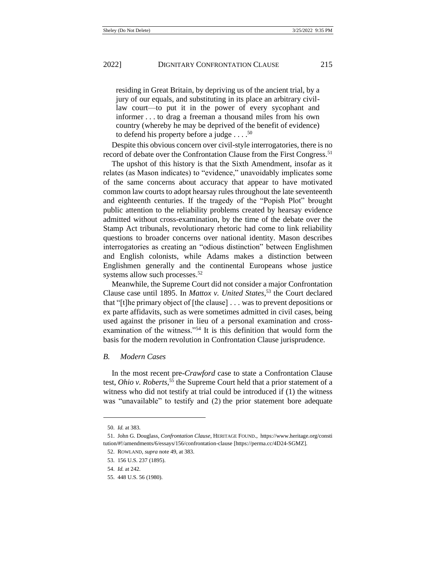residing in Great Britain, by depriving us of the ancient trial, by a jury of our equals, and substituting in its place an arbitrary civillaw court—to put it in the power of every sycophant and informer . . . to drag a freeman a thousand miles from his own country (whereby he may be deprived of the benefit of evidence) to defend his property before a judge  $\dots$ .<sup>50</sup>

Despite this obvious concern over civil-style interrogatories, there is no record of debate over the Confrontation Clause from the First Congress.<sup>51</sup>

The upshot of this history is that the Sixth Amendment, insofar as it relates (as Mason indicates) to "evidence," unavoidably implicates some of the same concerns about accuracy that appear to have motivated common law courts to adopt hearsay rules throughout the late seventeenth and eighteenth centuries. If the tragedy of the "Popish Plot" brought public attention to the reliability problems created by hearsay evidence admitted without cross-examination, by the time of the debate over the Stamp Act tribunals, revolutionary rhetoric had come to link reliability questions to broader concerns over national identity. Mason describes interrogatories as creating an "odious distinction" between Englishmen and English colonists, while Adams makes a distinction between Englishmen generally and the continental Europeans whose justice systems allow such processes.<sup>52</sup>

Meanwhile, the Supreme Court did not consider a major Confrontation Clause case until 1895. In *Mattox v. United States*, <sup>53</sup> the Court declared that "[t]he primary object of [the clause] . . . was to prevent depositions or ex parte affidavits, such as were sometimes admitted in civil cases, being used against the prisoner in lieu of a personal examination and crossexamination of the witness."<sup>54</sup> It is this definition that would form the basis for the modern revolution in Confrontation Clause jurisprudence.

#### *B. Modern Cases*

In the most recent pre-*Crawford* case to state a Confrontation Clause test, *Ohio v. Roberts*, <sup>55</sup> the Supreme Court held that a prior statement of a witness who did not testify at trial could be introduced if (1) the witness was "unavailable" to testify and (2) the prior statement bore adequate

<sup>50.</sup> *Id.* at 383.

<sup>51.</sup> John G. Douglass, *Confrontation Clause*, HERITAGE FOUND., https://www.heritage.org/consti tution/#!/amendments/6/essays/156/confrontation-clause [https://perma.cc/4D24-SGMZ].

<sup>52.</sup> ROWLAND, *supra* not[e 49,](#page-8-0) at 383.

<sup>53.</sup> 156 U.S. 237 (1895).

<sup>54.</sup> *Id.* at 242.

<sup>55.</sup> 448 U.S. 56 (1980).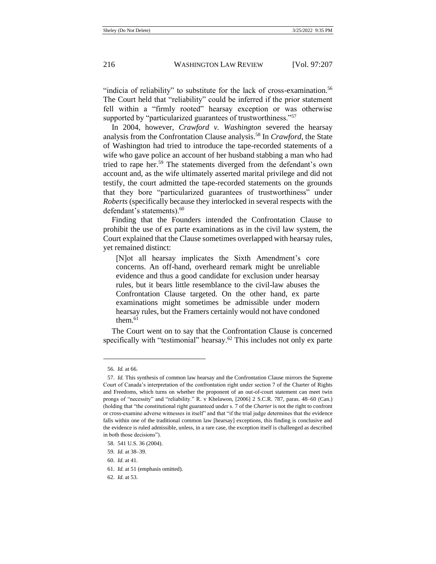"indicia of reliability" to substitute for the lack of cross-examination.<sup>56</sup> The Court held that "reliability" could be inferred if the prior statement fell within a "firmly rooted" hearsay exception or was otherwise supported by "particularized guarantees of trustworthiness."<sup>57</sup>

In 2004, however, *Crawford v. Washington* severed the hearsay analysis from the Confrontation Clause analysis.<sup>58</sup> In *Crawford*, the State of Washington had tried to introduce the tape-recorded statements of a wife who gave police an account of her husband stabbing a man who had tried to rape her.<sup>59</sup> The statements diverged from the defendant's own account and, as the wife ultimately asserted marital privilege and did not testify, the court admitted the tape-recorded statements on the grounds that they bore "particularized guarantees of trustworthiness" under *Roberts* (specifically because they interlocked in several respects with the defendant's statements).<sup>60</sup>

Finding that the Founders intended the Confrontation Clause to prohibit the use of ex parte examinations as in the civil law system, the Court explained that the Clause sometimes overlapped with hearsay rules, yet remained distinct:

[N]ot all hearsay implicates the Sixth Amendment's core concerns. An off-hand, overheard remark might be unreliable evidence and thus a good candidate for exclusion under hearsay rules, but it bears little resemblance to the civil-law abuses the Confrontation Clause targeted. On the other hand, ex parte examinations might sometimes be admissible under modern hearsay rules, but the Framers certainly would not have condoned them. $61$ 

The Court went on to say that the Confrontation Clause is concerned specifically with "testimonial" hearsay.<sup>62</sup> This includes not only ex parte

<sup>56</sup>*. Id.* at 66.

<sup>57.</sup> *Id.* This synthesis of common law hearsay and the Confrontation Clause mirrors the Supreme Court of Canada's interpretation of the confrontation right under section 7 of the Charter of Rights and Freedoms, which turns on whether the proponent of an out-of-court statement can meet twin prongs of "necessity" and "reliability." R. v Khelawon, [2006] 2 S.C.R. 787, paras. 48–60 (Can.) (holding that "the constitutional right guaranteed under s. 7 of the *Charter* is not the right to confront or cross-examine adverse witnesses in itself" and that "if the trial judge determines that the evidence falls within one of the traditional common law [hearsay] exceptions, this finding is conclusive and the evidence is ruled admissible, unless, in a rare case, the exception itself is challenged as described in both those decisions").

<sup>58.</sup> 541 U.S. 36 (2004).

<sup>59.</sup> *Id.* at 38–39.

<sup>60.</sup> *Id.* at 41.

<sup>61.</sup> *Id.* at 51 (emphasis omitted).

<sup>62.</sup> *Id.* at 53.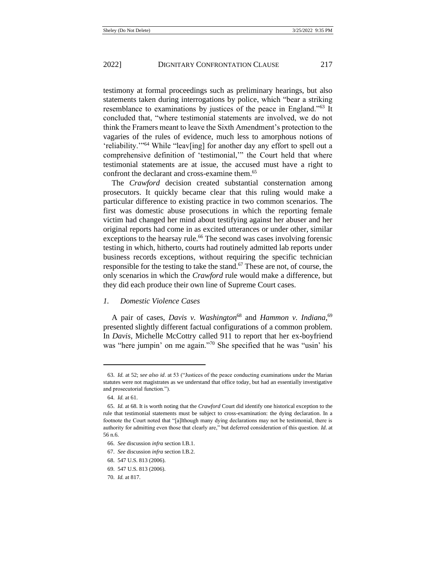testimony at formal proceedings such as preliminary hearings, but also statements taken during interrogations by police, which "bear a striking resemblance to examinations by justices of the peace in England."<sup>63</sup> It concluded that, "where testimonial statements are involved, we do not think the Framers meant to leave the Sixth Amendment's protection to the vagaries of the rules of evidence, much less to amorphous notions of 'reliability.'"<sup>64</sup> While "leav[ing] for another day any effort to spell out a comprehensive definition of 'testimonial,'" the Court held that where testimonial statements are at issue, the accused must have a right to confront the declarant and cross-examine them.<sup>65</sup>

The *Crawford* decision created substantial consternation among prosecutors. It quickly became clear that this ruling would make a particular difference to existing practice in two common scenarios. The first was domestic abuse prosecutions in which the reporting female victim had changed her mind about testifying against her abuser and her original reports had come in as excited utterances or under other, similar exceptions to the hearsay rule.<sup>66</sup> The second was cases involving forensic testing in which, hitherto, courts had routinely admitted lab reports under business records exceptions, without requiring the specific technician responsible for the testing to take the stand.<sup>67</sup> These are not, of course, the only scenarios in which the *Crawford* rule would make a difference, but they did each produce their own line of Supreme Court cases.

## *1. Domestic Violence Cases*

A pair of cases, *Davis v. Washington*<sup>68</sup> and *Hammon v. Indiana*,<sup>69</sup> presented slightly different factual configurations of a common problem. In *Davis*, Michelle McCottry called 911 to report that her ex-boyfriend was "here jumpin' on me again."<sup>70</sup> She specified that he was "usin' his

<sup>63.</sup> *Id.* at 52; *see also id*. at 53 ("Justices of the peace conducting examinations under the Marian statutes were not magistrates as we understand that office today, but had an essentially investigative and prosecutorial function.").

<sup>64.</sup> *Id.* at 61.

<sup>65.</sup> *Id.* at 68. It is worth noting that the *Crawford* Court did identify one historical exception to the rule that testimonial statements must be subject to cross-examination: the dying declaration. In a footnote the Court noted that "[a]lthough many dying declarations may not be testimonial, there is authority for admitting even those that clearly are," but deferred consideration of this question. *Id.* at 56 n.6.

<sup>66.</sup> *See* discussion *infra* section I.B.1.

<sup>67.</sup> *See* discussion *infra* section I.B.2.

<sup>68.</sup> 547 U.S. 813 (2006).

<sup>69.</sup> 547 U.S. 813 (2006).

<sup>70.</sup> *Id.* at 817.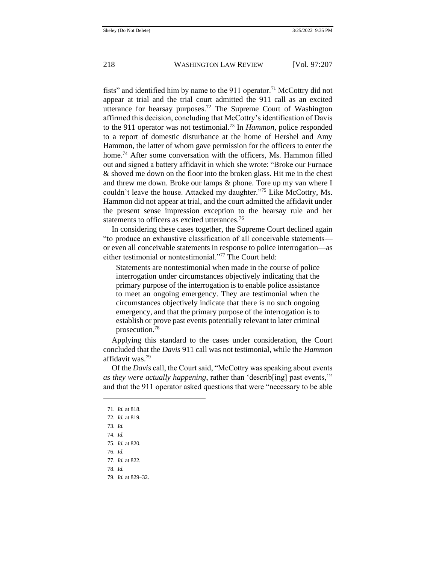fists" and identified him by name to the 911 operator.<sup>71</sup> McCottry did not appear at trial and the trial court admitted the 911 call as an excited utterance for hearsay purposes.<sup>72</sup> The Supreme Court of Washington affirmed this decision, concluding that McCottry's identification of Davis to the 911 operator was not testimonial.<sup>73</sup> In *Hammon*, police responded to a report of domestic disturbance at the home of Hershel and Amy Hammon, the latter of whom gave permission for the officers to enter the home.<sup>74</sup> After some conversation with the officers, Ms. Hammon filled out and signed a battery affidavit in which she wrote: "Broke our Furnace & shoved me down on the floor into the broken glass. Hit me in the chest and threw me down. Broke our lamps & phone. Tore up my van where I couldn't leave the house. Attacked my daughter."<sup>75</sup> Like McCottry, Ms. Hammon did not appear at trial, and the court admitted the affidavit under the present sense impression exception to the hearsay rule and her statements to officers as excited utterances.<sup>76</sup>

In considering these cases together, the Supreme Court declined again "to produce an exhaustive classification of all conceivable statements or even all conceivable statements in response to police interrogation—as either testimonial or nontestimonial."<sup>77</sup> The Court held:

Statements are nontestimonial when made in the course of police interrogation under circumstances objectively indicating that the primary purpose of the interrogation is to enable police assistance to meet an ongoing emergency. They are testimonial when the circumstances objectively indicate that there is no such ongoing emergency, and that the primary purpose of the interrogation is to establish or prove past events potentially relevant to later criminal prosecution.<sup>78</sup>

Applying this standard to the cases under consideration, the Court concluded that the *Davis* 911 call was not testimonial, while the *Hammon* affidavit was.<sup>79</sup>

Of the *Davis* call, the Court said, "McCottry was speaking about events *as they were actually happening*, rather than 'describ[ing] past events,'" and that the 911 operator asked questions that were "necessary to be able

- 73. *Id.*
- 74. *Id.*
- 75. *Id.* at 820.
- 76. *Id.*
- 77. *Id.* at 822.
- 78. *Id.*
- 79. *Id.* at 829–32.

<sup>71.</sup> *Id.* at 818.

<sup>72.</sup> *Id.* at 819.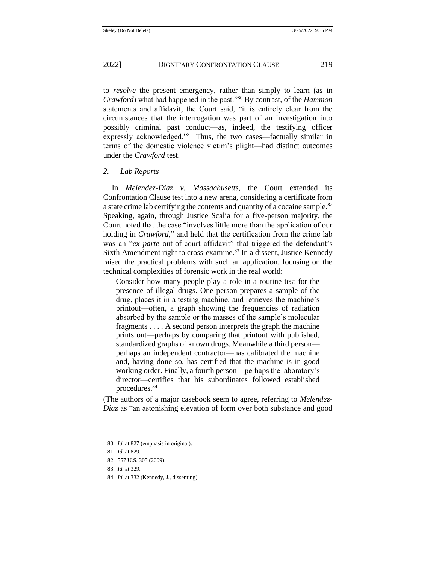to *resolve* the present emergency, rather than simply to learn (as in *Crawford*) what had happened in the past."<sup>80</sup> By contrast, of the *Hammon*  statements and affidavit, the Court said, "it is entirely clear from the circumstances that the interrogation was part of an investigation into possibly criminal past conduct—as, indeed, the testifying officer expressly acknowledged."<sup>81</sup> Thus, the two cases—factually similar in terms of the domestic violence victim's plight—had distinct outcomes under the *Crawford* test.

## *2. Lab Reports*

In *Melendez-Diaz v. Massachusetts*, the Court extended its Confrontation Clause test into a new arena, considering a certificate from a state crime lab certifying the contents and quantity of a cocaine sample.<sup>82</sup> Speaking, again, through Justice Scalia for a five-person majority, the Court noted that the case "involves little more than the application of our holding in *Crawford*," and held that the certification from the crime lab was an "*ex parte* out-of-court affidavit" that triggered the defendant's Sixth Amendment right to cross-examine.<sup>83</sup> In a dissent, Justice Kennedy raised the practical problems with such an application, focusing on the technical complexities of forensic work in the real world:

Consider how many people play a role in a routine test for the presence of illegal drugs. One person prepares a sample of the drug, places it in a testing machine, and retrieves the machine's printout—often, a graph showing the frequencies of radiation absorbed by the sample or the masses of the sample's molecular fragments . . . . A second person interprets the graph the machine prints out—perhaps by comparing that printout with published, standardized graphs of known drugs. Meanwhile a third person perhaps an independent contractor—has calibrated the machine and, having done so, has certified that the machine is in good working order. Finally, a fourth person—perhaps the laboratory's director—certifies that his subordinates followed established procedures.<sup>84</sup>

(The authors of a major casebook seem to agree, referring to *Melendez-Diaz* as "an astonishing elevation of form over both substance and good

<sup>80.</sup> *Id.* at 827 (emphasis in original).

<sup>81.</sup> *Id.* at 829.

<sup>82.</sup> 557 U.S. 305 (2009).

<sup>83.</sup> *Id.* at 329.

<sup>84.</sup> *Id.* at 332 (Kennedy, J., dissenting).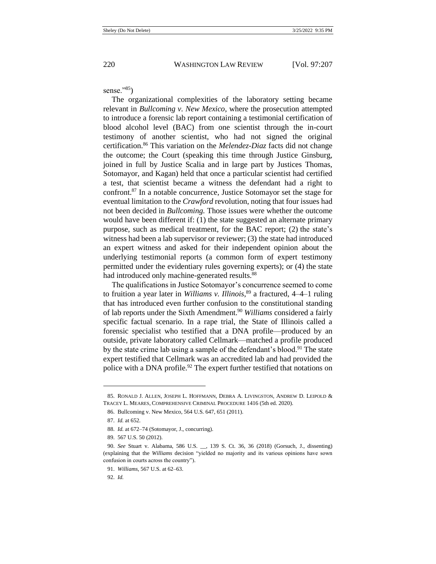sense." $85$ )

The organizational complexities of the laboratory setting became relevant in *Bullcoming v. New Mexico*, where the prosecution attempted to introduce a forensic lab report containing a testimonial certification of blood alcohol level (BAC) from one scientist through the in-court testimony of another scientist, who had not signed the original certification.<sup>86</sup> This variation on the *Melendez-Diaz* facts did not change the outcome; the Court (speaking this time through Justice Ginsburg, joined in full by Justice Scalia and in large part by Justices Thomas, Sotomayor, and Kagan) held that once a particular scientist had certified a test, that scientist became a witness the defendant had a right to confront.<sup>87</sup> In a notable concurrence, Justice Sotomayor set the stage for eventual limitation to the *Crawford* revolution, noting that four issues had not been decided in *Bullcoming.* Those issues were whether the outcome would have been different if: (1) the state suggested an alternate primary purpose, such as medical treatment, for the BAC report; (2) the state's witness had been a lab supervisor or reviewer; (3) the state had introduced an expert witness and asked for their independent opinion about the underlying testimonial reports (a common form of expert testimony permitted under the evidentiary rules governing experts); or (4) the state had introduced only machine-generated results.<sup>88</sup>

The qualifications in Justice Sotomayor's concurrence seemed to come to fruition a year later in *Williams v. Illinois*, <sup>89</sup> a fractured, 4–4–1 ruling that has introduced even further confusion to the constitutional standing of lab reports under the Sixth Amendment.<sup>90</sup> *Williams* considered a fairly specific factual scenario. In a rape trial, the State of Illinois called a forensic specialist who testified that a DNA profile—produced by an outside, private laboratory called Cellmark—matched a profile produced by the state crime lab using a sample of the defendant's blood.<sup>91</sup> The state expert testified that Cellmark was an accredited lab and had provided the police with a DNA profile.<sup>92</sup> The expert further testified that notations on

<sup>85.</sup> RONALD J. ALLEN, JOSEPH L. HOFFMANN, DEBRA A. LIVINGSTON, ANDREW D. LEIPOLD & TRACEY L. MEARES, COMPREHENSIVE CRIMINAL PROCEDURE 1416 (5th ed. 2020).

<sup>86.</sup> Bullcoming v. New Mexico, 564 U.S. 647, 651 (2011).

<sup>87.</sup> *Id.* at 652.

<sup>88.</sup> *Id.* at 672–74 (Sotomayor, J., concurring).

<sup>89.</sup> 567 U.S. 50 (2012).

<sup>90.</sup> *See* Stuart v. Alabama, 586 U.S. \_\_, 139 S. Ct. 36, 36 (2018) (Gorsuch, J., dissenting) (explaining that the *Williams* decision "yielded no majority and its various opinions have sown confusion in courts across the country").

<sup>91.</sup> *Williams*, 567 U.S. at 62–63.

<sup>92.</sup> *Id.*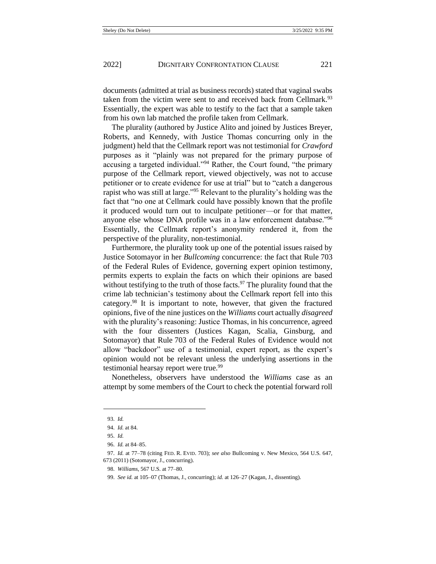documents (admitted at trial as business records) stated that vaginal swabs taken from the victim were sent to and received back from Cellmark.<sup>93</sup> Essentially, the expert was able to testify to the fact that a sample taken from his own lab matched the profile taken from Cellmark.

The plurality (authored by Justice Alito and joined by Justices Breyer, Roberts, and Kennedy, with Justice Thomas concurring only in the judgment) held that the Cellmark report was not testimonial for *Crawford*  purposes as it "plainly was not prepared for the primary purpose of accusing a targeted individual."<sup>94</sup> Rather, the Court found, "the primary purpose of the Cellmark report, viewed objectively, was not to accuse petitioner or to create evidence for use at trial" but to "catch a dangerous rapist who was still at large."<sup>95</sup> Relevant to the plurality's holding was the fact that "no one at Cellmark could have possibly known that the profile it produced would turn out to inculpate petitioner—or for that matter, anyone else whose DNA profile was in a law enforcement database."<sup>96</sup> Essentially, the Cellmark report's anonymity rendered it, from the perspective of the plurality, non-testimonial.

Furthermore, the plurality took up one of the potential issues raised by Justice Sotomayor in her *Bullcoming* concurrence: the fact that Rule 703 of the Federal Rules of Evidence, governing expert opinion testimony, permits experts to explain the facts on which their opinions are based without testifying to the truth of those facts. $97$  The plurality found that the crime lab technician's testimony about the Cellmark report fell into this category.<sup>98</sup> It is important to note, however, that given the fractured opinions, five of the nine justices on the *Williams* court actually *disagreed* with the plurality's reasoning: Justice Thomas, in his concurrence, agreed with the four dissenters (Justices Kagan, Scalia, Ginsburg, and Sotomayor) that Rule 703 of the Federal Rules of Evidence would not allow "backdoor" use of a testimonial, expert report, as the expert's opinion would not be relevant unless the underlying assertions in the testimonial hearsay report were true.<sup>99</sup>

Nonetheless, observers have understood the *Williams* case as an attempt by some members of the Court to check the potential forward roll

<sup>93.</sup> *Id.*

<sup>94.</sup> *Id.* at 84.

<sup>95.</sup> *Id.*

<sup>96.</sup> *Id.* at 84–85.

<sup>97.</sup> *Id.* at 77–78 (citing FED. R. EVID. 703); *see also* Bullcoming v. New Mexico, 564 U.S. 647, 673 (2011) (Sotomayor, J., concurring).

<sup>98.</sup> *Williams*, 567 U.S. at 77–80.

<sup>99.</sup> *See id.* at 105–07 (Thomas, J., concurring); *id.* at 126–27 (Kagan, J., dissenting).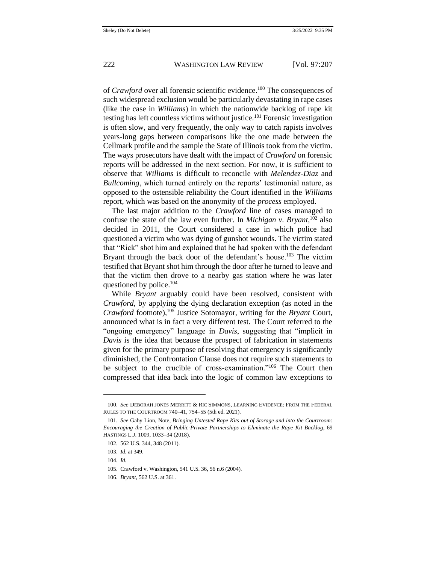of *Crawford* over all forensic scientific evidence.<sup>100</sup> The consequences of such widespread exclusion would be particularly devastating in rape cases (like the case in *Williams*) in which the nationwide backlog of rape kit testing has left countless victims without justice.<sup>101</sup> Forensic investigation is often slow, and very frequently, the only way to catch rapists involves years-long gaps between comparisons like the one made between the Cellmark profile and the sample the State of Illinois took from the victim. The ways prosecutors have dealt with the impact of *Crawford* on forensic reports will be addressed in the next section. For now, it is sufficient to observe that *Williams* is difficult to reconcile with *Melendez-Diaz* and *Bullcoming*, which turned entirely on the reports' testimonial nature, as opposed to the ostensible reliability the Court identified in the *Williams* report, which was based on the anonymity of the *process* employed.

The last major addition to the *Crawford* line of cases managed to confuse the state of the law even further. In *Michigan v. Bryant*, <sup>102</sup> also decided in 2011, the Court considered a case in which police had questioned a victim who was dying of gunshot wounds. The victim stated that "Rick" shot him and explained that he had spoken with the defendant Bryant through the back door of the defendant's house.<sup>103</sup> The victim testified that Bryant shot him through the door after he turned to leave and that the victim then drove to a nearby gas station where he was later questioned by police.<sup>104</sup>

While *Bryant* arguably could have been resolved, consistent with *Crawford*, by applying the dying declaration exception (as noted in the *Crawford* footnote),<sup>105</sup> Justice Sotomayor, writing for the *Bryant* Court, announced what is in fact a very different test. The Court referred to the "ongoing emergency" language in *Davis*, suggesting that "implicit in *Davis* is the idea that because the prospect of fabrication in statements given for the primary purpose of resolving that emergency is significantly diminished, the Confrontation Clause does not require such statements to be subject to the crucible of cross-examination."<sup>106</sup> The Court then compressed that idea back into the logic of common law exceptions to

<sup>100.</sup> *See* DEBORAH JONES MERRITT & RIC SIMMONS, LEARNING EVIDENCE: FROM THE FEDERAL RULES TO THE COURTROOM 740–41, 754–55 (5th ed. 2021).

<sup>101.</sup> *See* Gaby Lion, Note, *Bringing Untested Rape Kits out of Storage and into the Courtroom: Encouraging the Creation of Public-Private Partnerships to Eliminate the Rape Kit Backlog*, 69 HASTINGS L.J. 1009, 1033–34 (2018).

<sup>102.</sup> 562 U.S. 344, 348 (2011).

<sup>103.</sup> *Id.* at 349.

<sup>104.</sup> *Id.* 

<sup>105.</sup> Crawford v. Washington, 541 U.S. 36, 56 n.6 (2004).

<sup>106.</sup> *Bryant*, 562 U.S. at 361.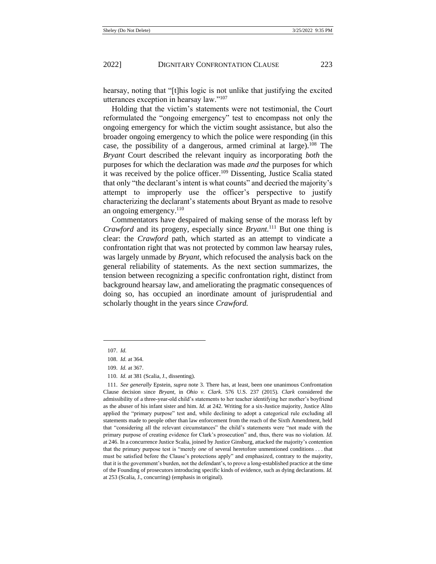hearsay, noting that "[t]his logic is not unlike that justifying the excited utterances exception in hearsay law."<sup>107</sup>

Holding that the victim's statements were not testimonial, the Court reformulated the "ongoing emergency" test to encompass not only the ongoing emergency for which the victim sought assistance, but also the broader ongoing emergency to which the police were responding (in this case, the possibility of a dangerous, armed criminal at large).<sup>108</sup> The *Bryant* Court described the relevant inquiry as incorporating *both* the purposes for which the declaration was made *and* the purposes for which it was received by the police officer.<sup>109</sup> Dissenting, Justice Scalia stated that only "the declarant's intent is what counts" and decried the majority's attempt to improperly use the officer's perspective to justify characterizing the declarant's statements about Bryant as made to resolve an ongoing emergency.<sup>110</sup>

Commentators have despaired of making sense of the morass left by *Crawford* and its progeny, especially since *Bryant.*<sup>111</sup> But one thing is clear: the *Crawford* path, which started as an attempt to vindicate a confrontation right that was not protected by common law hearsay rules, was largely unmade by *Bryant*, which refocused the analysis back on the general reliability of statements. As the next section summarizes, the tension between recognizing a specific confrontation right, distinct from background hearsay law, and ameliorating the pragmatic consequences of doing so, has occupied an inordinate amount of jurisprudential and scholarly thought in the years since *Crawford.*

<sup>107.</sup> *Id.* 

<sup>108.</sup> *Id.* at 364.

<sup>109.</sup> *Id.* at 367.

<sup>110.</sup> *Id.* at 381 (Scalia, J., dissenting).

<sup>111.</sup> *See generally* Epstein, *supra* not[e 3.](#page-2-0) There has, at least, been one unanimous Confrontation Clause decision since *Bryant*, in *Ohio v. Clark*. 576 U.S. 237 (2015). *Clark* considered the admissibility of a three-year-old child's statements to her teacher identifying her mother's boyfriend as the abuser of his infant sister and him. *Id.* at 242. Writing for a six-Justice majority, Justice Alito applied the "primary purpose" test and, while declining to adopt a categorical rule excluding all statements made to people other than law enforcement from the reach of the Sixth Amendment, held that "considering all the relevant circumstances" the child's statements were "not made with the primary purpose of creating evidence for Clark's prosecution" and, thus, there was no violation. *Id.*  at 246. In a concurrence Justice Scalia, joined by Justice Ginsburg, attacked the majority's contention that the primary purpose test is "merely *one* of several heretofore unmentioned conditions . . . that must be satisfied before the Clause's protections apply" and emphasized, contrary to the majority, that it is the government's burden, not the defendant's, to prove a long-established practice at the time of the Founding of prosecutors introducing specific kinds of evidence, such as dying declarations. *Id.*  at 253 (Scalia, J., concurring) (emphasis in original).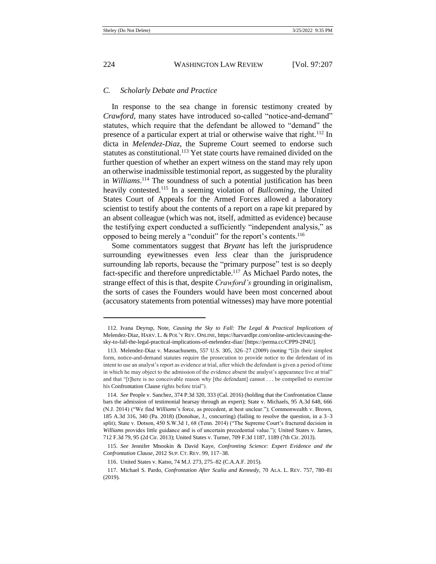## *C. Scholarly Debate and Practice*

In response to the sea change in forensic testimony created by *Crawford*, many states have introduced so-called "notice-and-demand" statutes, which require that the defendant be allowed to "demand" the presence of a particular expert at trial or otherwise waive that right.<sup>112</sup> In dicta in *Melendez-Diaz*, the Supreme Court seemed to endorse such statutes as constitutional.<sup>113</sup> Yet state courts have remained divided on the further question of whether an expert witness on the stand may rely upon an otherwise inadmissible testimonial report, as suggested by the plurality in *Williams*. <sup>114</sup> The soundness of such a potential justification has been heavily contested.<sup>115</sup> In a seeming violation of *Bullcoming*, the United States Court of Appeals for the Armed Forces allowed a laboratory scientist to testify about the contents of a report on a rape kit prepared by an absent colleague (which was not, itself, admitted as evidence) because the testifying expert conducted a sufficiently "independent analysis," as opposed to being merely a "conduit" for the report's contents.<sup>116</sup>

Some commentators suggest that *Bryant* has left the jurisprudence surrounding eyewitnesses even *less* clear than the jurisprudence surrounding lab reports, because the "primary purpose" test is so deeply fact-specific and therefore unpredictable.<sup>117</sup> As Michael Pardo notes, the strange effect of this is that, despite *Crawford's* grounding in originalism, the sorts of cases the Founders would have been most concerned about (accusatory statements from potential witnesses) may have more potential

<sup>112.</sup> Ivana Deyrup, Note, *Causing the Sky to Fall: The Legal & Practical Implications of*  Melendez-Diaz, HARV. L. & POL'Y REV. ONLINE, https://harvardlpr.com/online-articles/causing-thesky-to-fall-the-legal-practical-implications-of-melendez-diaz/ [https://perma.cc/CPP9-2P4U].

<sup>113.</sup> Melendez-Diaz v. Massachusetts, 557 U.S. 305, 326–27 (2009) (noting "[i]n their simplest form, notice-and-demand statutes require the prosecution to provide notice to the defendant of its intent to use an analyst's report as evidence at trial, after which the defendant is given a period of time in which he may object to the admission of the evidence absent the analyst's appearance live at trial" and that "[t]here is no conceivable reason why [the defendant] cannot . . . be compelled to exercise his Confrontation Clause rights before trial").

<sup>114.</sup> *See* People v. Sanchez, 374 P.3d 320, 333 (Cal. 2016) (holding that the Confrontation Clause bars the admission of testimonial hearsay through an expert); State v. Michaels, 95 A.3d 648, 666 (N.J. 2014) ("We find *Williams*'s force, as precedent, at best unclear."); Commonwealth v. Brown, 185 A.3d 316, 340 (Pa. 2018) (Donohue, J., concurring) (failing to resolve the question, in a 3–3 split); State v. Dotson, 450 S.W.3d 1, 68 (Tenn. 2014) ("The Supreme Court's fractured decision in *Williams* provides little guidance and is of uncertain precedential value."); United States v. James, 712 F.3d 79, 95 (2d Cir. 2013); United States v. Turner, 709 F.3d 1187, 1189 (7th Cir. 2013).

<sup>115.</sup> *See* Jennifer Mnookin & David Kaye, *Confronting Science: Expert Evidence and the Confrontation Clause*, 2012 SUP. CT. REV. 99, 117–38.

<sup>116.</sup> United States v. Katso, 74 M.J. 273, 275–82 (C.A.A.F. 2015).

<sup>117.</sup> Michael S. Pardo, *Confrontation After Scalia and Kennedy*, 70 ALA. L. REV. 757, 780–81 (2019).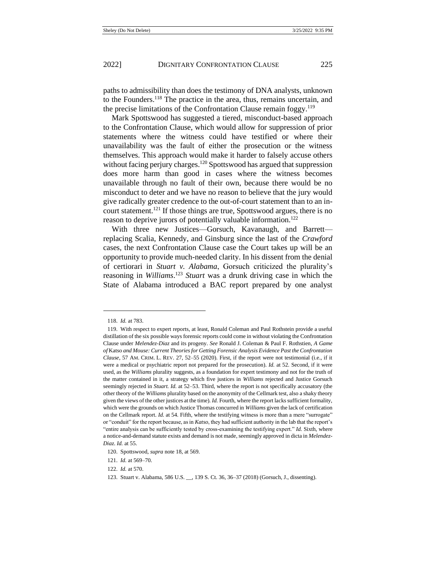<span id="page-19-0"></span>paths to admissibility than does the testimony of DNA analysts, unknown to the Founders.<sup>118</sup> The practice in the area, thus, remains uncertain, and the precise limitations of the Confrontation Clause remain foggy.<sup>119</sup>

Mark Spottswood has suggested a tiered, misconduct-based approach to the Confrontation Clause, which would allow for suppression of prior statements where the witness could have testified or where their unavailability was the fault of either the prosecution or the witness themselves. This approach would make it harder to falsely accuse others without facing perjury charges.<sup>120</sup> Spottswood has argued that suppression does more harm than good in cases where the witness becomes unavailable through no fault of their own, because there would be no misconduct to deter and we have no reason to believe that the jury would give radically greater credence to the out-of-court statement than to an incourt statement.<sup>121</sup> If those things are true, Spottswood argues, there is no reason to deprive jurors of potentially valuable information.<sup>122</sup>

With three new Justices—Gorsuch, Kavanaugh, and Barrett replacing Scalia, Kennedy, and Ginsburg since the last of the *Crawford*  cases, the next Confrontation Clause case the Court takes up will be an opportunity to provide much-needed clarity. In his dissent from the denial of certiorari in *Stuart v. Alabama*, Gorsuch criticized the plurality's reasoning in *Williams*. <sup>123</sup> *Stuart* was a drunk driving case in which the State of Alabama introduced a BAC report prepared by one analyst

<sup>118.</sup> *Id.* at 783.

<sup>119.</sup> With respect to expert reports, at least, Ronald Coleman and Paul Rothstein provide a useful distillation of the six possible ways forensic reports could come in without violating the Confrontation Clause under *Melendez-Diaz* and its progeny. *See* Ronald J. Coleman & Paul F. Rothstien, *A Game of* Katso *and Mouse: Current Theories for Getting Forensic Analysis Evidence Past the Confrontation Clause*, 57 AM. CRIM. L. REV. 27, 52–55 (2020). First, if the report were not testimonial (i.e., if it were a medical or psychiatric report not prepared for the prosecution). *Id.* at 52. Second, if it were used, as the *Williams* plurality suggests, as a foundation for expert testimony and not for the truth of the matter contained in it, a strategy which five justices in *Williams* rejected and Justice Gorsuch seemingly rejected in *Stuart. Id.* at 52–53. Third, where the report is not specifically accusatory (the other theory of the *Williams* plurality based on the anonymity of the Cellmark test, also a shaky theory given the views of the other justices at the time). *Id.* Fourth, where the report lacks sufficient formality, which were the grounds on which Justice Thomas concurred in *Williams* given the lack of certification on the Cellmark report. *Id.* at 54. Fifth, where the testifying witness is more than a mere "surrogate" or "conduit" for the report because, as in *Katso*, they had sufficient authority in the lab that the report's "entire analysis can be sufficiently tested by cross-examining the testifying expert." *Id.* Sixth, where a notice-and-demand statute exists and demand is not made, seemingly approved in dicta in *Melendez-Diaz*. *Id.* at 55.

<sup>120.</sup> Spottswood, *supra* not[e 18,](#page-3-0) at 569.

<sup>121.</sup> *Id.* at 569–70.

<sup>122.</sup> *Id.* at 570.

<sup>123.</sup> Stuart v. Alabama, 586 U.S. \_\_, 139 S. Ct. 36, 36–37 (2018) (Gorsuch, J., dissenting).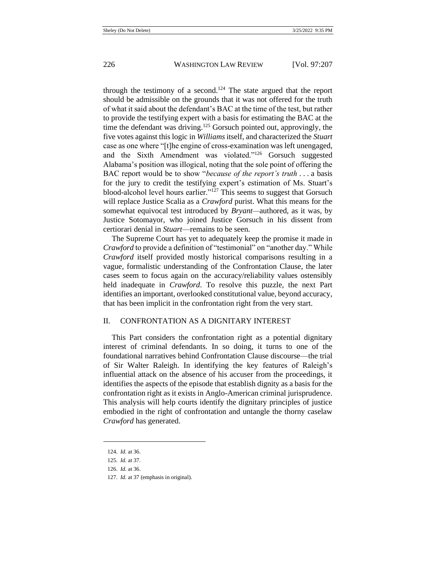through the testimony of a second.<sup>124</sup> The state argued that the report should be admissible on the grounds that it was not offered for the truth of what it said about the defendant's BAC at the time of the test, but rather to provide the testifying expert with a basis for estimating the BAC at the time the defendant was driving.<sup>125</sup> Gorsuch pointed out, approvingly, the five votes against this logic in *Williams* itself, and characterized the *Stuart*  case as one where "[t]he engine of cross-examination was left unengaged, and the Sixth Amendment was violated."<sup>126</sup> Gorsuch suggested Alabama's position was illogical, noting that the sole point of offering the BAC report would be to show "*because of the report's truth* . . . a basis for the jury to credit the testifying expert's estimation of Ms. Stuart's blood-alcohol level hours earlier."<sup>127</sup> This seems to suggest that Gorsuch will replace Justice Scalia as a *Crawford* purist. What this means for the somewhat equivocal test introduced by *Bryant—*authored, as it was, by Justice Sotomayor, who joined Justice Gorsuch in his dissent from certiorari denial in *Stuart*—remains to be seen.

The Supreme Court has yet to adequately keep the promise it made in *Crawford* to provide a definition of "testimonial" on "another day." While *Crawford* itself provided mostly historical comparisons resulting in a vague, formalistic understanding of the Confrontation Clause, the later cases seem to focus again on the accuracy/reliability values ostensibly held inadequate in *Crawford*. To resolve this puzzle, the next Part identifies an important, overlooked constitutional value, beyond accuracy, that has been implicit in the confrontation right from the very start.

## II. CONFRONTATION AS A DIGNITARY INTEREST

This Part considers the confrontation right as a potential dignitary interest of criminal defendants. In so doing, it turns to one of the foundational narratives behind Confrontation Clause discourse—the trial of Sir Walter Raleigh. In identifying the key features of Raleigh's influential attack on the absence of his accuser from the proceedings, it identifies the aspects of the episode that establish dignity as a basis for the confrontation right as it exists in Anglo-American criminal jurisprudence. This analysis will help courts identify the dignitary principles of justice embodied in the right of confrontation and untangle the thorny caselaw *Crawford* has generated.

<sup>124.</sup> *Id.* at 36.

<sup>125.</sup> *Id.* at 37.

<sup>126.</sup> *Id.* at 36.

<sup>127.</sup> *Id.* at 37 (emphasis in original).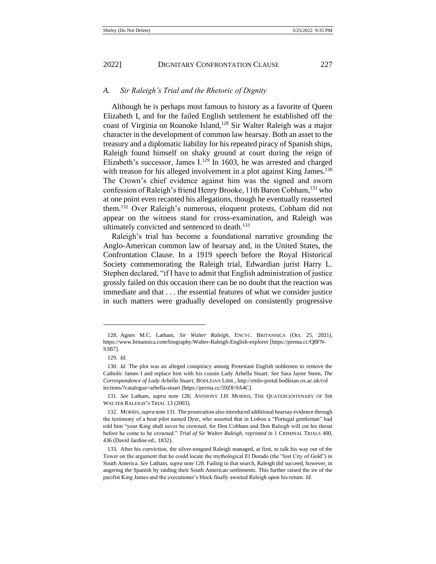### *A. Sir Raleigh's Trial and the Rhetoric of Dignity*

<span id="page-21-0"></span>Although he is perhaps most famous to history as a favorite of Queen Elizabeth I, and for the failed English settlement he established off the coast of Virginia on Roanoke Island,<sup>128</sup> Sir Walter Raleigh was a major character in the development of common law hearsay. Both an asset to the treasury and a diplomatic liability for his repeated piracy of Spanish ships, Raleigh found himself on shaky ground at court during the reign of Elizabeth's successor, James I.<sup>129</sup> In 1603, he was arrested and charged with treason for his alleged involvement in a plot against King James.<sup>130</sup> The Crown's chief evidence against him was the signed and sworn confession of Raleigh's friend Henry Brooke, 11th Baron Cobham,<sup>131</sup> who at one point even recanted his allegations, though he eventually reasserted them.<sup>132</sup> Over Raleigh's numerous, eloquent protests, Cobham did not appear on the witness stand for cross-examination, and Raleigh was ultimately convicted and sentenced to death. $133$ 

<span id="page-21-2"></span><span id="page-21-1"></span>Raleigh's trial has become a foundational narrative grounding the Anglo-American common law of hearsay and, in the United States, the Confrontation Clause. In a 1919 speech before the Royal Historical Society commemorating the Raleigh trial, Edwardian jurist Harry L. Stephen declared, "if I have to admit that English administration of justice grossly failed on this occasion there can be no doubt that the reaction was immediate and that . . . the essential features of what we consider justice in such matters were gradually developed on consistently progressive

<sup>128.</sup> Agnes M.C. Latham, *Sir Walter Raleigh*, ENCYC. BRITANNICA (Oct. 25, 2021), https://www.britannica.com/biography/Walter-Raleigh-English-explorer [https://perma.cc/Q8FN-S3B7].

<sup>129.</sup> *Id.*

<sup>130.</sup> *Id.* The plot was an alleged conspiracy among Protestant English noblemen to remove the Catholic James I and replace him with his cousin Lady Arbella Stuart. *See* Sara Jayne Steen, *The Correspondence of Lady Arbella Stuart*, BODLEIAN LIBR., http://emlo-portal.bodleian.ox.ac.uk/col lections/?catalogue=arbella-stuart [https://perma.cc/59Z8-9A4C].

<sup>131.</sup> *See* Latham, *supra* note [128;](#page-21-0) ANTHONY J.H. MORRIS, THE QUATERCENTENARY OF SIR WALTER RALEIGH'S TRIAL 13 (2003).

<sup>132.</sup> MORRIS,*supra* not[e 131.](#page-21-1) The prosecution also introduced additional hearsay evidence through the testimony of a boat pilot named Dyer, who asserted that in Lisbon a "Portugal gentleman" had told him "your King shall never be crowned, for Don Cobham and Don Raleigh will cut his throat before he come to be crowned." *Trial of Sir Walter Raleigh*, *reprinted in* 1 CRIMINAL TRIALS 400, 436 (David Jardine ed., 1832).

<sup>133.</sup> After his conviction, the silver-tongued Raleigh managed, at first, to talk his way out of the Tower on the argument that he could locate the mythological El Dorado (the "lost City of Gold") in South America. *See* Latham, *supra* not[e 128.](#page-21-0) Failing in that search, Raleigh did succeed, however, in angering the Spanish by raiding their South American settlements. This further raised the ire of the pacifist King James and the executioner's block finally awaited Raleigh upon his return. *Id.*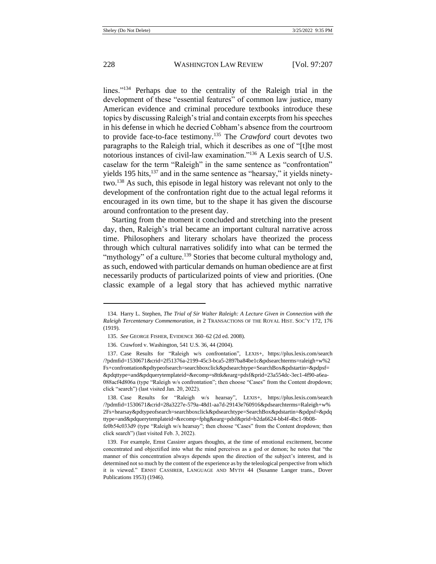<span id="page-22-0"></span>lines."<sup>134</sup> Perhaps due to the centrality of the Raleigh trial in the development of these "essential features" of common law justice, many American evidence and criminal procedure textbooks introduce these topics by discussing Raleigh's trial and contain excerpts from his speeches in his defense in which he decried Cobham's absence from the courtroom to provide face-to-face testimony.<sup>135</sup> The *Crawford* court devotes two paragraphs to the Raleigh trial, which it describes as one of "[t]he most notorious instances of civil-law examination."<sup>136</sup> A Lexis search of U.S. caselaw for the term "Raleigh" in the same sentence as "confrontation" yields 195 hits, $137$  and in the same sentence as "hearsay," it yields ninetytwo.<sup>138</sup> As such, this episode in legal history was relevant not only to the development of the confrontation right due to the actual legal reforms it encouraged in its own time, but to the shape it has given the discourse around confrontation to the present day.

Starting from the moment it concluded and stretching into the present day, then, Raleigh's trial became an important cultural narrative across time. Philosophers and literary scholars have theorized the process through which cultural narratives solidify into what can be termed the "mythology" of a culture.<sup>139</sup> Stories that become cultural mythology and, as such, endowed with particular demands on human obedience are at first necessarily products of particularized points of view and priorities. (One classic example of a legal story that has achieved mythic narrative

<sup>134.</sup> Harry L. Stephen, *The Trial of Sir Walter Raleigh: A Lecture Given in Connection with the Raleigh Tercentenary Commemoration*, *in* 2 TRANSACTIONS OF THE ROYAL HIST. SOC'Y 172, 176 (1919).

<sup>135.</sup> *See* GEORGE FISHER, EVIDENCE 360–62 (2d ed. 2008).

<sup>136.</sup> Crawford v. Washington, 541 U.S. 36, 44 (2004).

<sup>137.</sup> Case Results for "Raleigh w/s confrontation", LEXIS+, https://plus.lexis.com/search /?pdmfid=1530671&crid=2f51376a-2199-45c3-bca5-2897ba84be1c&pdsearchterms=raleigh+w%2 Fs+confrontation&pdtypeofsearch=searchboxclick&pdsearchtype=SearchBox&pdstartin=&pdpsf= &pdqttype=and&pdquerytemplateid=&ecomp=s8ttk&earg=pdsf&prid=23a554dc-3ec1-4f90-a6ea-088acf4d806a (type "Raleigh w/s confrontation"; then choose "Cases" from the Content dropdown; click "search") (last visited Jan. 20, 2022).

<sup>138.</sup> Case Results for "Raleigh w/s hearsay", LEXIS+, https://plus.lexis.com/search /?pdmfid=1530671&crid=28a3227e-579a-48d1-aa7d-29143e760916&pdsearchterms=Raleigh+w% 2Fs+hearsay&pdtypeofsearch=searchboxclick&pdsearchtype=SearchBox&pdstartin=&pdpsf=&pdq ttype=and&pdquerytemplateid=&ecomp=fphg&earg=pdsf&prid=b2da6624-bb4f-4bc1-9b08-

fe0b54c033d9 (type "Raleigh w/s hearsay"; then choose "Cases" from the Content dropdown; then click search") (last visited Feb. 3, 2022).

<sup>139.</sup> For example, Ernst Cassirer argues thoughts, at the time of emotional excitement, become concentrated and objectified into what the mind perceives as a god or demon; he notes that "the manner of this concentration always depends upon the direction of the subject's interest, and is determined not so much by the content of the experience as by the teleological perspective from which it is viewed." ERNST CASSIRER, LANGUAGE AND MYTH 44 (Susanne Langer trans., Dover Publications 1953) (1946).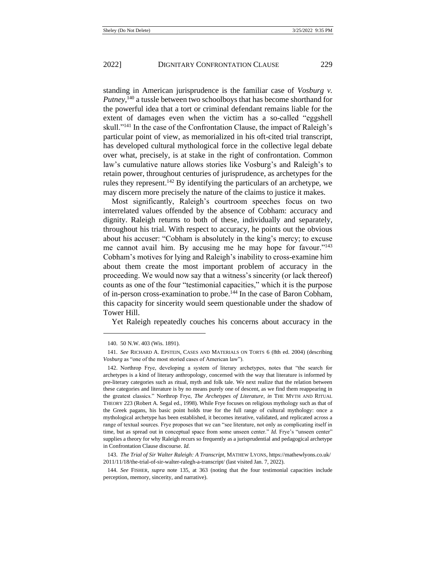standing in American jurisprudence is the familiar case of *Vosburg v. Putney*,<sup>140</sup> a tussle between two schoolboys that has become shorthand for the powerful idea that a tort or criminal defendant remains liable for the extent of damages even when the victim has a so-called "eggshell skull."<sup>141</sup> In the case of the Confrontation Clause, the impact of Raleigh's particular point of view, as memorialized in his oft-cited trial transcript, has developed cultural mythological force in the collective legal debate over what, precisely, is at stake in the right of confrontation. Common law's cumulative nature allows stories like Vosburg's and Raleigh's to retain power, throughout centuries of jurisprudence, as archetypes for the rules they represent.<sup>142</sup> By identifying the particulars of an archetype, we may discern more precisely the nature of the claims to justice it makes.

Most significantly, Raleigh's courtroom speeches focus on two interrelated values offended by the absence of Cobham: accuracy and dignity. Raleigh returns to both of these, individually and separately, throughout his trial. With respect to accuracy, he points out the obvious about his accuser: "Cobham is absolutely in the king's mercy; to excuse me cannot avail him. By accusing me he may hope for favour."<sup>143</sup> Cobham's motives for lying and Raleigh's inability to cross-examine him about them create the most important problem of accuracy in the proceeding. We would now say that a witness's sincerity (or lack thereof) counts as one of the four "testimonial capacities," which it is the purpose of in-person cross-examination to probe.<sup>144</sup> In the case of Baron Cobham, this capacity for sincerity would seem questionable under the shadow of Tower Hill.

<span id="page-23-0"></span>Yet Raleigh repeatedly couches his concerns about accuracy in the

<sup>140.</sup> 50 N.W. 403 (Wis. 1891).

<sup>141.</sup> *See* RICHARD A. EPSTEIN, CASES AND MATERIALS ON TORTS 6 (8th ed. 2004) (describing *Vosburg* as "one of the most storied cases of American law").

<sup>142.</sup> Northrop Frye, developing a system of literary archetypes, notes that "the search for archetypes is a kind of literary anthropology, concerned with the way that literature is informed by pre-literary categories such as ritual, myth and folk tale. We next realize that the relation between these categories and literature is by no means purely one of descent, as we find them reappearing in the greatest classics." Northrop Frye, *The Archetypes of Literature*, *in* THE MYTH AND RITUAL THEORY 223 (Robert A. Segal ed., 1998). While Frye focuses on religious mythology such as that of the Greek pagans, his basic point holds true for the full range of cultural mythology: once a mythological archetype has been established, it becomes iterative, validated, and replicated across a range of textual sources. Frye proposes that we can "see literature, not only as complicating itself in time, but as spread out in conceptual space from some unseen center." *Id.* Frye's "unseen center" supplies a theory for why Raleigh recurs so frequently as a jurisprudential and pedagogical archetype in Confrontation Clause discourse. *Id.*

<sup>143.</sup> *The Trial of Sir Walter Raleigh: A Transcript*, MATHEW LYONS, https://mathewlyons.co.uk/ 2011/11/18/the-trial-of-sir-walter-ralegh-a-transcript/ (last visited Jan. 7, 2022).

<sup>144.</sup> *See* FISHER, *supra* note [135,](#page-22-0) at 363 (noting that the four testimonial capacities include perception, memory, sincerity, and narrative).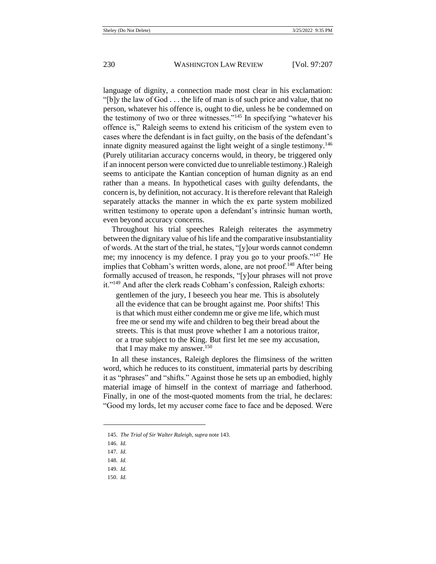language of dignity, a connection made most clear in his exclamation: "[b]y the law of God . . . the life of man is of such price and value, that no person, whatever his offence is, ought to die, unless he be condemned on the testimony of two or three witnesses."<sup>145</sup> In specifying "whatever his offence is," Raleigh seems to extend his criticism of the system even to cases where the defendant is in fact guilty, on the basis of the defendant's innate dignity measured against the light weight of a single testimony.<sup>146</sup> (Purely utilitarian accuracy concerns would, in theory, be triggered only if an innocent person were convicted due to unreliable testimony.) Raleigh seems to anticipate the Kantian conception of human dignity as an end rather than a means. In hypothetical cases with guilty defendants, the concern is, by definition, not accuracy. It is therefore relevant that Raleigh separately attacks the manner in which the ex parte system mobilized written testimony to operate upon a defendant's intrinsic human worth, even beyond accuracy concerns.

Throughout his trial speeches Raleigh reiterates the asymmetry between the dignitary value of his life and the comparative insubstantiality of words. At the start of the trial, he states, "[y]our words cannot condemn me; my innocency is my defence. I pray you go to your proofs."<sup>147</sup> He implies that Cobham's written words, alone, are not proof.<sup>148</sup> After being formally accused of treason, he responds, "[y]our phrases will not prove it."<sup>149</sup> And after the clerk reads Cobham's confession, Raleigh exhorts:

gentlemen of the jury, I beseech you hear me. This is absolutely all the evidence that can be brought against me. Poor shifts! This is that which must either condemn me or give me life, which must free me or send my wife and children to beg their bread about the streets. This is that must prove whether I am a notorious traitor, or a true subject to the King. But first let me see my accusation, that I may make my answer.<sup>150</sup>

In all these instances, Raleigh deplores the flimsiness of the written word, which he reduces to its constituent, immaterial parts by describing it as "phrases" and "shifts." Against those he sets up an embodied, highly material image of himself in the context of marriage and fatherhood. Finally, in one of the most-quoted moments from the trial, he declares: "Good my lords, let my accuser come face to face and be deposed. Were

- 149. *Id.*
- 150. *Id.*

<sup>145.</sup> *The Trial of Sir Walter Raleigh*, *supra* not[e 143.](#page-23-0)

<sup>146.</sup> *Id.*

<sup>147.</sup> *Id.*

<sup>148.</sup> *Id.*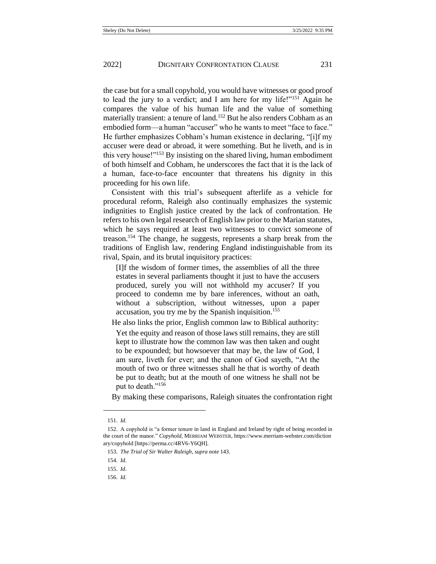the case but for a small copyhold, you would have witnesses or good proof to lead the jury to a verdict; and I am here for my life!"<sup>151</sup> Again he compares the value of his human life and the value of something materially transient: a tenure of land.<sup>152</sup> But he also renders Cobham as an embodied form—a human "accuser" who he wants to meet "face to face." He further emphasizes Cobham's human existence in declaring, "[i]f my accuser were dead or abroad, it were something. But he liveth, and is in this very house!"<sup>153</sup> By insisting on the shared living, human embodiment of both himself and Cobham, he underscores the fact that it is the lack of a human, face-to-face encounter that threatens his dignity in this proceeding for his own life.

Consistent with this trial's subsequent afterlife as a vehicle for procedural reform, Raleigh also continually emphasizes the systemic indignities to English justice created by the lack of confrontation. He refers to his own legal research of English law prior to the Marian statutes, which he says required at least two witnesses to convict someone of treason.<sup>154</sup> The change, he suggests, represents a sharp break from the traditions of English law, rendering England indistinguishable from its rival, Spain, and its brutal inquisitory practices:

[I]f the wisdom of former times, the assemblies of all the three estates in several parliaments thought it just to have the accusers produced, surely you will not withhold my accuser? If you proceed to condemn me by bare inferences, without an oath, without a subscription, without witnesses, upon a paper accusation, you try me by the Spanish inquisition.<sup>155</sup>

He also links the prior, English common law to Biblical authority:

Yet the equity and reason of those laws still remains, they are still kept to illustrate how the common law was then taken and ought to be expounded; but howsoever that may be, the law of God, I am sure, liveth for ever; and the canon of God sayeth, "At the mouth of two or three witnesses shall he that is worthy of death be put to death; but at the mouth of one witness he shall not be put to death."<sup>156</sup>

By making these comparisons, Raleigh situates the confrontation right

<sup>151.</sup> *Id.*

<sup>152.</sup> A copyhold is "a former tenure in land in England and Ireland by right of being recorded in the court of the manor." *Copyhold*, MERRIAM WEBSTER, https://www.merriam-webster.com/diction ary/copyhold [https://perma.cc/4RV6-Y6QH].

<sup>153.</sup> *The Trial of Sir Walter Raleigh*, *supra* not[e 143.](#page-23-0)

<sup>154.</sup> *Id.*

<sup>155.</sup> *Id.*

<sup>156.</sup> *Id.*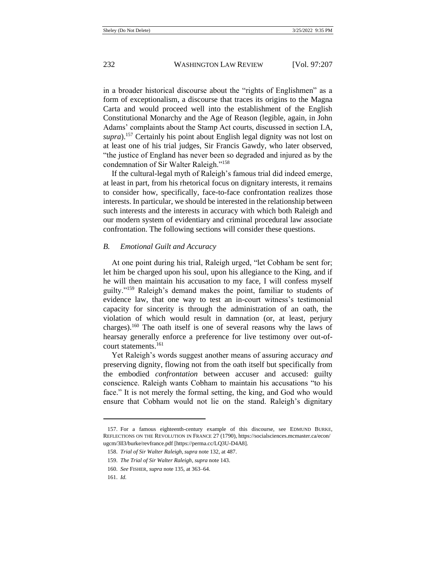in a broader historical discourse about the "rights of Englishmen" as a form of exceptionalism, a discourse that traces its origins to the Magna Carta and would proceed well into the establishment of the English Constitutional Monarchy and the Age of Reason (legible, again, in John Adams' complaints about the Stamp Act courts, discussed in section I.A, *supra*).<sup>157</sup> Certainly his point about English legal dignity was not lost on at least one of his trial judges, Sir Francis Gawdy, who later observed, "the justice of England has never been so degraded and injured as by the condemnation of Sir Walter Raleigh."<sup>158</sup>

If the cultural-legal myth of Raleigh's famous trial did indeed emerge, at least in part, from his rhetorical focus on dignitary interests, it remains to consider how, specifically, face-to-face confrontation realizes those interests. In particular, we should be interested in the relationship between such interests and the interests in accuracy with which both Raleigh and our modern system of evidentiary and criminal procedural law associate confrontation. The following sections will consider these questions.

#### *B. Emotional Guilt and Accuracy*

At one point during his trial, Raleigh urged, "let Cobham be sent for; let him be charged upon his soul, upon his allegiance to the King, and if he will then maintain his accusation to my face, I will confess myself guilty."<sup>159</sup> Raleigh's demand makes the point, familiar to students of evidence law, that one way to test an in-court witness's testimonial capacity for sincerity is through the administration of an oath, the violation of which would result in damnation (or, at least, perjury charges).<sup>160</sup> The oath itself is one of several reasons why the laws of hearsay generally enforce a preference for live testimony over out-ofcourt statements.<sup>161</sup>

Yet Raleigh's words suggest another means of assuring accuracy *and*  preserving dignity, flowing not from the oath itself but specifically from the embodied *confrontation* between accuser and accused: guilty conscience. Raleigh wants Cobham to maintain his accusations "to his face." It is not merely the formal setting, the king, and God who would ensure that Cobham would not lie on the stand. Raleigh's dignitary

<sup>157.</sup> For a famous eighteenth-century example of this discourse, see EDMUND BURKE, REFLECTIONS ON THE REVOLUTION IN FRANCE 27 (1790), https://socialsciences.mcmaster.ca/econ/ ugcm/3ll3/burke/revfrance.pdf [https://perma.cc/LQ3U-D4A8].

<sup>158.</sup> *Trial of Sir Walter Raleigh*, *supra* not[e 132,](#page-21-2) at 487.

<sup>159.</sup> *The Trial of Sir Walter Raleigh*, *supra* not[e 143.](#page-23-0)

<sup>160.</sup> *See* FISHER, *supra* not[e 135,](#page-22-0) at 363–64.

<sup>161.</sup> *Id.*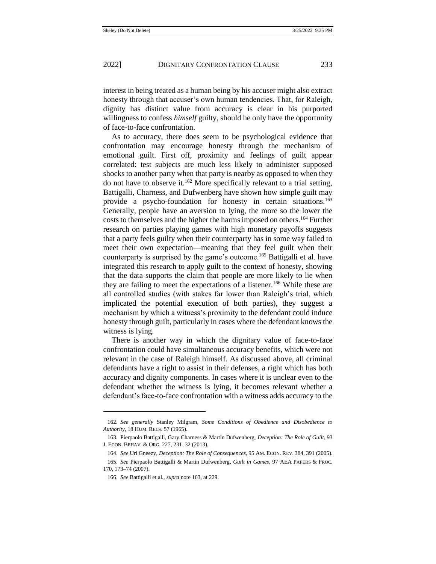interest in being treated as a human being by his accuser might also extract honesty through that accuser's own human tendencies. That, for Raleigh, dignity has distinct value from accuracy is clear in his purported willingness to confess *himself* guilty, should he only have the opportunity of face-to-face confrontation.

<span id="page-27-0"></span>As to accuracy, there does seem to be psychological evidence that confrontation may encourage honesty through the mechanism of emotional guilt. First off, proximity and feelings of guilt appear correlated: test subjects are much less likely to administer supposed shocks to another party when that party is nearby as opposed to when they do not have to observe it.<sup>162</sup> More specifically relevant to a trial setting, Battigalli, Charness, and Dufwenberg have shown how simple guilt may provide a psycho-foundation for honesty in certain situations.<sup>163</sup> Generally, people have an aversion to lying, the more so the lower the costs to themselves and the higher the harms imposed on others.<sup>164</sup> Further research on parties playing games with high monetary payoffs suggests that a party feels guilty when their counterparty has in some way failed to meet their own expectation—meaning that they feel guilt when their counterparty is surprised by the game's outcome.<sup>165</sup> Battigalli et al. have integrated this research to apply guilt to the context of honesty, showing that the data supports the claim that people are more likely to lie when they are failing to meet the expectations of a listener.<sup>166</sup> While these are all controlled studies (with stakes far lower than Raleigh's trial, which implicated the potential execution of both parties), they suggest a mechanism by which a witness's proximity to the defendant could induce honesty through guilt, particularly in cases where the defendant knows the witness is lying.

There is another way in which the dignitary value of face-to-face confrontation could have simultaneous accuracy benefits, which were not relevant in the case of Raleigh himself. As discussed above, all criminal defendants have a right to assist in their defenses, a right which has both accuracy and dignity components. In cases where it is unclear even to the defendant whether the witness is lying, it becomes relevant whether a defendant's face-to-face confrontation with a witness adds accuracy to the

<sup>162.</sup> *See generally* Stanley Milgram, *Some Conditions of Obedience and Disobedience to Authority*, 18 HUM. RELS. 57 (1965).

<sup>163.</sup> Pierpaolo Battigalli, Gary Charness & Martin Dufwenberg, *Deception: The Role of Guilt*, 93 J. ECON. BEHAV. & ORG. 227, 231–32 (2013).

<sup>164.</sup> *See* Uri Gneezy, *Deception: The Role of Consequences*, 95 AM. ECON. REV. 384, 391 (2005).

<sup>165.</sup> *See* Pierpaolo Battigalli & Martin Dufwenberg, *Guilt in Games*, 97 AEA PAPERS & PROC. 170, 173–74 (2007).

<sup>166.</sup> *See* Battigalli et al., *supra* not[e 163,](#page-27-0) at 229.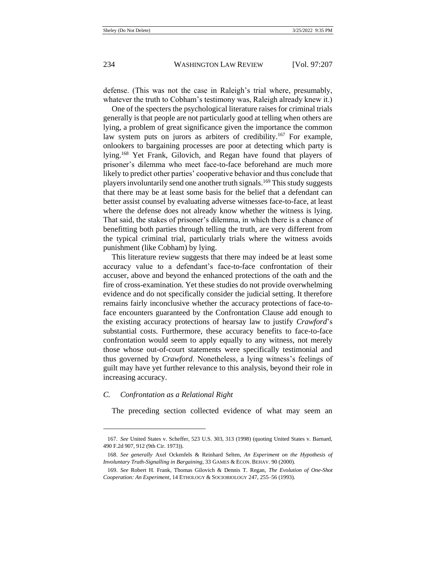defense. (This was not the case in Raleigh's trial where, presumably, whatever the truth to Cobham's testimony was, Raleigh already knew it.)

One of the specters the psychological literature raises for criminal trials generally is that people are not particularly good at telling when others are lying, a problem of great significance given the importance the common law system puts on jurors as arbiters of credibility.<sup>167</sup> For example, onlookers to bargaining processes are poor at detecting which party is lying.<sup>168</sup> Yet Frank, Gilovich, and Regan have found that players of prisoner's dilemma who meet face-to-face beforehand are much more likely to predict other parties' cooperative behavior and thus conclude that players involuntarily send one another truth signals.<sup>169</sup> This study suggests that there may be at least some basis for the belief that a defendant can better assist counsel by evaluating adverse witnesses face-to-face, at least where the defense does not already know whether the witness is lying. That said, the stakes of prisoner's dilemma, in which there is a chance of benefitting both parties through telling the truth, are very different from the typical criminal trial, particularly trials where the witness avoids punishment (like Cobham) by lying.

This literature review suggests that there may indeed be at least some accuracy value to a defendant's face-to-face confrontation of their accuser, above and beyond the enhanced protections of the oath and the fire of cross-examination. Yet these studies do not provide overwhelming evidence and do not specifically consider the judicial setting. It therefore remains fairly inconclusive whether the accuracy protections of face-toface encounters guaranteed by the Confrontation Clause add enough to the existing accuracy protections of hearsay law to justify *Crawford*'s substantial costs. Furthermore, these accuracy benefits to face-to-face confrontation would seem to apply equally to any witness, not merely those whose out-of-court statements were specifically testimonial and thus governed by *Crawford*. Nonetheless, a lying witness's feelings of guilt may have yet further relevance to this analysis, beyond their role in increasing accuracy.

#### *C. Confrontation as a Relational Right*

The preceding section collected evidence of what may seem an

<sup>167.</sup> *See* United States v. Scheffer, 523 U.S. 303, 313 (1998) (quoting United States v. Barnard, 490 F.2d 907, 912 (9th Cir. 1973)).

<sup>168.</sup> *See generally* Axel Ockenfels & Reinhard Selten, *An Experiment on the Hypothesis of Involuntary Truth-Signalling in Bargaining*, 33 GAMES & ECON. BEHAV. 90 (2000).

<sup>169.</sup> *See* Robert H. Frank, Thomas Gilovich & Dennis T. Regan, *The Evolution of One-Shot Cooperation: An Experiment*, 14 ETHOLOGY & SOCIOBIOLOGY 247, 255–56 (1993).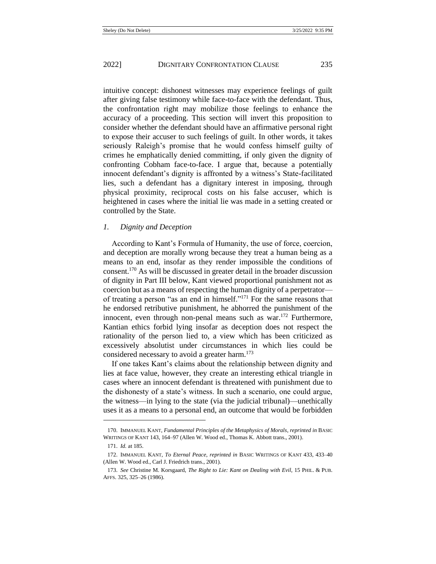intuitive concept: dishonest witnesses may experience feelings of guilt after giving false testimony while face-to-face with the defendant. Thus, the confrontation right may mobilize those feelings to enhance the accuracy of a proceeding. This section will invert this proposition to consider whether the defendant should have an affirmative personal right to expose their accuser to such feelings of guilt. In other words, it takes seriously Raleigh's promise that he would confess himself guilty of crimes he emphatically denied committing, if only given the dignity of confronting Cobham face-to-face. I argue that, because a potentially innocent defendant's dignity is affronted by a witness's State-facilitated lies, such a defendant has a dignitary interest in imposing, through physical proximity, reciprocal costs on his false accuser, which is heightened in cases where the initial lie was made in a setting created or controlled by the State.

#### *1. Dignity and Deception*

<span id="page-29-1"></span>According to Kant's Formula of Humanity, the use of force, coercion, and deception are morally wrong because they treat a human being as a means to an end, insofar as they render impossible the conditions of consent.<sup>170</sup> As will be discussed in greater detail in the broader discussion of dignity in Part III below, Kant viewed proportional punishment not as coercion but as a means of respecting the human dignity of a perpetrator of treating a person "as an end in himself." <sup>171</sup> For the same reasons that he endorsed retributive punishment, he abhorred the punishment of the innocent, even through non-penal means such as war.<sup>172</sup> Furthermore, Kantian ethics forbid lying insofar as deception does not respect the rationality of the person lied to, a view which has been criticized as excessively absolutist under circumstances in which lies could be considered necessary to avoid a greater harm.<sup>173</sup>

<span id="page-29-0"></span>If one takes Kant's claims about the relationship between dignity and lies at face value, however, they create an interesting ethical triangle in cases where an innocent defendant is threatened with punishment due to the dishonesty of a state's witness. In such a scenario, one could argue, the witness—in lying to the state (via the judicial tribunal)—unethically uses it as a means to a personal end, an outcome that would be forbidden

<sup>170.</sup> IMMANUEL KANT, *Fundamental Principles of the Metaphysics of Morals*, *reprinted in* BASIC WRITINGS OF KANT 143, 164–97 (Allen W. Wood ed., Thomas K. Abbott trans., 2001).

<sup>171.</sup> *Id.* at 185.

<sup>172.</sup> IMMANUEL KANT, *To Eternal Peace*, *reprinted in* BASIC WRITINGS OF KANT 433, 433–40 (Allen W. Wood ed., Carl J. Friedrich trans., 2001).

<sup>173.</sup> *See* Christine M. Korsgaard, *The Right to Lie: Kant on Dealing with Evil*, 15 PHIL. & PUB. AFFS. 325, 325–26 (1986).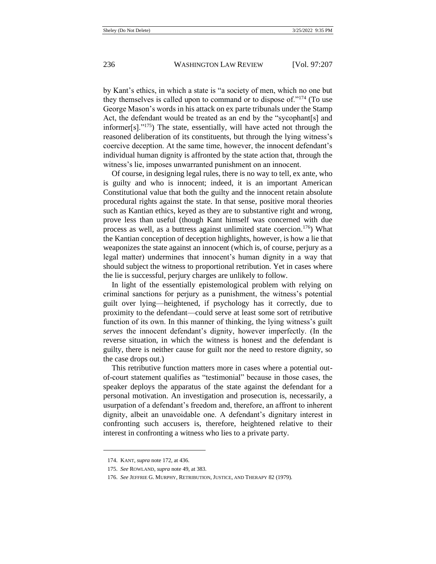by Kant's ethics, in which a state is "a society of men, which no one but they themselves is called upon to command or to dispose of."<sup>174</sup> (To use George Mason's words in his attack on ex parte tribunals under the Stamp Act, the defendant would be treated as an end by the "sycophant[s] and informer[s]."<sup>175</sup>) The state, essentially, will have acted not through the reasoned deliberation of its constituents, but through the lying witness's coercive deception. At the same time, however, the innocent defendant's individual human dignity is affronted by the state action that, through the witness's lie, imposes unwarranted punishment on an innocent.

Of course, in designing legal rules, there is no way to tell, ex ante, who is guilty and who is innocent; indeed, it is an important American Constitutional value that both the guilty and the innocent retain absolute procedural rights against the state. In that sense, positive moral theories such as Kantian ethics, keyed as they are to substantive right and wrong, prove less than useful (though Kant himself was concerned with due process as well, as a buttress against unlimited state coercion.<sup>176</sup>) What the Kantian conception of deception highlights, however, is how a lie that weaponizes the state against an innocent (which is, of course, perjury as a legal matter) undermines that innocent's human dignity in a way that should subject the witness to proportional retribution. Yet in cases where the lie is successful, perjury charges are unlikely to follow.

In light of the essentially epistemological problem with relying on criminal sanctions for perjury as a punishment, the witness's potential guilt over lying—heightened, if psychology has it correctly, due to proximity to the defendant—could serve at least some sort of retributive function of its own. In this manner of thinking, the lying witness's guilt *serves* the innocent defendant's dignity, however imperfectly. (In the reverse situation, in which the witness is honest and the defendant is guilty, there is neither cause for guilt nor the need to restore dignity, so the case drops out.)

This retributive function matters more in cases where a potential outof-court statement qualifies as "testimonial" because in those cases, the speaker deploys the apparatus of the state against the defendant for a personal motivation. An investigation and prosecution is, necessarily, a usurpation of a defendant's freedom and, therefore, an affront to inherent dignity, albeit an unavoidable one. A defendant's dignitary interest in confronting such accusers is, therefore, heightened relative to their interest in confronting a witness who lies to a private party.

<sup>174.</sup> KANT, *supra* not[e 172,](#page-29-0) at 436.

<sup>175.</sup> *See* ROWLAND, *supra* not[e 49,](#page-8-0) at 383.

<sup>176.</sup> *See* JEFFRIE G. MURPHY, RETRIBUTION, JUSTICE, AND THERAPY 82 (1979).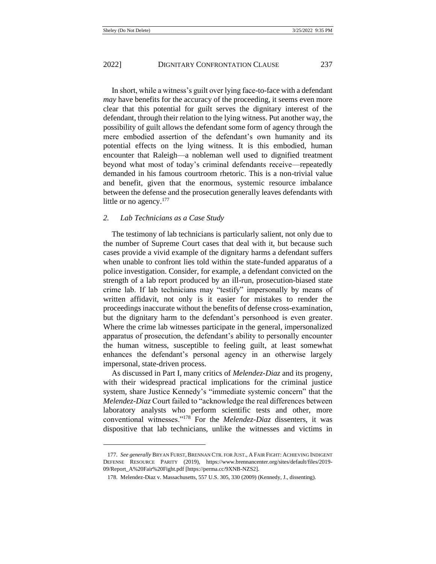In short, while a witness's guilt over lying face-to-face with a defendant *may* have benefits for the accuracy of the proceeding, it seems even more clear that this potential for guilt serves the dignitary interest of the defendant, through their relation to the lying witness. Put another way, the possibility of guilt allows the defendant some form of agency through the mere embodied assertion of the defendant's own humanity and its potential effects on the lying witness. It is this embodied, human encounter that Raleigh—a nobleman well used to dignified treatment beyond what most of today's criminal defendants receive—repeatedly demanded in his famous courtroom rhetoric. This is a non-trivial value and benefit, given that the enormous, systemic resource imbalance between the defense and the prosecution generally leaves defendants with little or no agency.<sup>177</sup>

## *2. Lab Technicians as a Case Study*

The testimony of lab technicians is particularly salient, not only due to the number of Supreme Court cases that deal with it, but because such cases provide a vivid example of the dignitary harms a defendant suffers when unable to confront lies told within the state-funded apparatus of a police investigation. Consider, for example, a defendant convicted on the strength of a lab report produced by an ill-run, prosecution-biased state crime lab. If lab technicians may "testify" impersonally by means of written affidavit, not only is it easier for mistakes to render the proceedings inaccurate without the benefits of defense cross-examination, but the dignitary harm to the defendant's personhood is even greater. Where the crime lab witnesses participate in the general, impersonalized apparatus of prosecution, the defendant's ability to personally encounter the human witness, susceptible to feeling guilt, at least somewhat enhances the defendant's personal agency in an otherwise largely impersonal, state-driven process.

As discussed in Part I, many critics of *Melendez-Diaz* and its progeny, with their widespread practical implications for the criminal justice system, share Justice Kennedy's "immediate systemic concern" that the *Melendez-Diaz* Court failed to "acknowledge the real differences between laboratory analysts who perform scientific tests and other, more conventional witnesses."<sup>178</sup> For the *Melendez-Diaz* dissenters, it was dispositive that lab technicians, unlike the witnesses and victims in

<sup>177.</sup> *See generally* BRYAN FURST, BRENNAN CTR. FOR JUST., A FAIR FIGHT: ACHIEVING INDIGENT DEFENSE RESOURCE PARITY (2019), https://www.brennancenter.org/sites/default/files/2019- 09/Report\_A%20Fair%20Fight.pdf [https://perma.cc/9XNB-NZS2].

<sup>178.</sup> Melendez-Diaz v. Massachusetts, 557 U.S. 305, 330 (2009) (Kennedy, J., dissenting).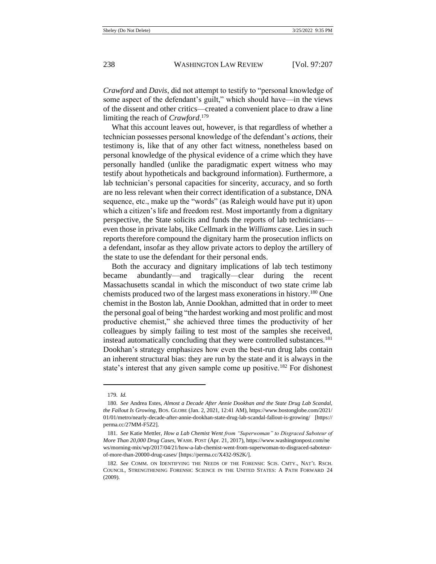*Crawford* and *Davis*, did not attempt to testify to "personal knowledge of some aspect of the defendant's guilt," which should have—in the views of the dissent and other critics—created a convenient place to draw a line limiting the reach of *Crawford*. 179

What this account leaves out, however, is that regardless of whether a technician possesses personal knowledge of the defendant's *actions*, their testimony is, like that of any other fact witness, nonetheless based on personal knowledge of the physical evidence of a crime which they have personally handled (unlike the paradigmatic expert witness who may testify about hypotheticals and background information). Furthermore, a lab technician's personal capacities for sincerity, accuracy, and so forth are no less relevant when their correct identification of a substance, DNA sequence, etc., make up the "words" (as Raleigh would have put it) upon which a citizen's life and freedom rest. Most importantly from a dignitary perspective, the State solicits and funds the reports of lab technicians even those in private labs, like Cellmark in the *Williams* case. Lies in such reports therefore compound the dignitary harm the prosecution inflicts on a defendant, insofar as they allow private actors to deploy the artillery of the state to use the defendant for their personal ends.

<span id="page-32-0"></span>Both the accuracy and dignitary implications of lab tech testimony became abundantly—and tragically—clear during the recent Massachusetts scandal in which the misconduct of two state crime lab chemists produced two of the largest mass exonerations in history.<sup>180</sup> One chemist in the Boston lab, Annie Dookhan, admitted that in order to meet the personal goal of being "the hardest working and most prolific and most productive chemist," she achieved three times the productivity of her colleagues by simply failing to test most of the samples she received, instead automatically concluding that they were controlled substances.<sup>181</sup> Dookhan's strategy emphasizes how even the best-run drug labs contain an inherent structural bias: they are run by the state and it is always in the state's interest that any given sample come up positive.<sup>182</sup> For dishonest

<sup>179.</sup> *Id.* 

<sup>180.</sup> *See* Andrea Estes, *Almost a Decade After Annie Dookhan and the State Drug Lab Scandal, the Fallout Is Growing*, BOS. GLOBE (Jan. 2, 2021, 12:41 AM), https://www.bostonglobe.com/2021/ 01/01/metro/nearly-decade-after-annie-dookhan-state-drug-lab-scandal-fallout-is-growing/ [https:// perma.cc/27MM-F5Z2].

<sup>181.</sup> *See* Katie Mettler, *How a Lab Chemist Went from "Superwoman" to Disgraced Saboteur of More Than 20,000 Drug Cases*, WASH. POST (Apr. 21, 2017), https://www.washingtonpost.com/ne ws/morning-mix/wp/2017/04/21/how-a-lab-chemist-went-from-superwoman-to-disgraced-saboteurof-more-than-20000-drug-cases/ [https://perma.cc/X432-9S2K/].

<sup>182.</sup> *See* COMM. ON IDENTIFYING THE NEEDS OF THE FORENSIC SCIS. CMTY., NAT'L RSCH. COUNCIL, STRENGTHENING FORENSIC SCIENCE IN THE UNITED STATES: A PATH FORWARD 24 (2009).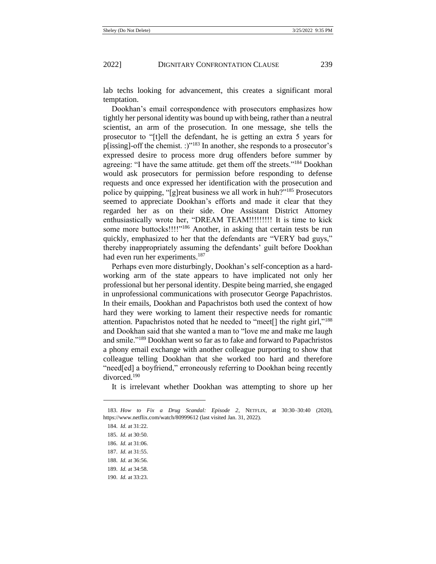lab techs looking for advancement, this creates a significant moral temptation.

<span id="page-33-0"></span>Dookhan's email correspondence with prosecutors emphasizes how tightly her personal identity was bound up with being, rather than a neutral scientist, an arm of the prosecution. In one message, she tells the prosecutor to "[t]ell the defendant, he is getting an extra 5 years for p[issing]-off the chemist. :)"<sup>183</sup> In another, she responds to a prosecutor's expressed desire to process more drug offenders before summer by agreeing: "I have the same attitude. get them off the streets."<sup>184</sup> Dookhan would ask prosecutors for permission before responding to defense requests and once expressed her identification with the prosecution and police by quipping, "[g]reat business we all work in huh?"<sup>185</sup> Prosecutors seemed to appreciate Dookhan's efforts and made it clear that they regarded her as on their side. One Assistant District Attorney enthusiastically wrote her, "DREAM TEAM!!!!!!!!! It is time to kick some more buttocks!!!!"<sup>186</sup> Another, in asking that certain tests be run quickly, emphasized to her that the defendants are "VERY bad guys," thereby inappropriately assuming the defendants' guilt before Dookhan had even run her experiments.<sup>187</sup>

Perhaps even more disturbingly, Dookhan's self-conception as a hardworking arm of the state appears to have implicated not only her professional but her personal identity. Despite being married, she engaged in unprofessional communications with prosecutor George Papachristos. In their emails, Dookhan and Papachristos both used the context of how hard they were working to lament their respective needs for romantic attention. Papachristos noted that he needed to "meet[] the right girl,"<sup>188</sup> and Dookhan said that she wanted a man to "love me and make me laugh and smile."<sup>189</sup> Dookhan went so far as to fake and forward to Papachristos a phony email exchange with another colleague purporting to show that colleague telling Dookhan that she worked too hard and therefore "need[ed] a boyfriend," erroneously referring to Dookhan being recently divorced.<sup>190</sup>

It is irrelevant whether Dookhan was attempting to shore up her

<sup>183.</sup> *How to Fix a Drug Scandal: Episode 2*, NETFLIX, at 30:30–30:40 (2020), https://www.netflix.com/watch/80999612 (last visited Jan. 31, 2022).

<sup>184.</sup> *Id.* at 31:22.

<sup>185.</sup> *Id.* at 30:50.

<sup>186.</sup> *Id.* at 31:06.

<sup>187.</sup> *Id.* at 31:55.

<sup>188.</sup> *Id.* at 36:56.

<sup>189.</sup> *Id.* at 34:58.

<sup>190.</sup> *Id.* at 33:23.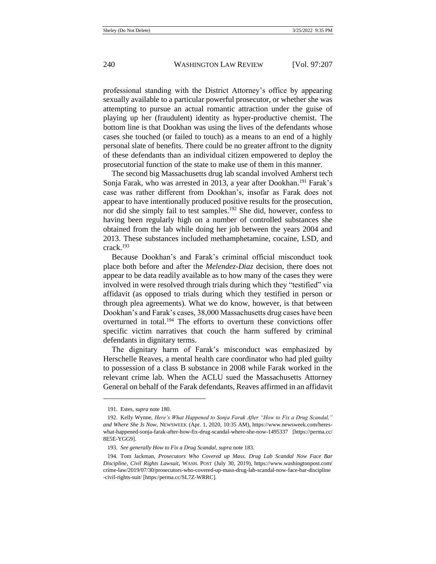professional standing with the District Attorney's office by appearing sexually available to a particular powerful prosecutor, or whether she was attempting to pursue an actual romantic attraction under the guise of playing up her (fraudulent) identity as hyper-productive chemist. The bottom line is that Dookhan was using the lives of the defendants whose cases she touched (or failed to touch) as a means to an end of a highly personal slate of benefits. There could be no greater affront to the dignity of these defendants than an individual citizen empowered to deploy the prosecutorial function of the state to make use of them in this manner.

The second big Massachusetts drug lab scandal involved Amherst tech Sonja Farak, who was arrested in 2013, a year after Dookhan.<sup>191</sup> Farak's case was rather different from Dookhan's, insofar as Farak does not appear to have intentionally produced positive results for the prosecution, nor did she simply fail to test samples.<sup>192</sup> She did, however, confess to having been regularly high on a number of controlled substances she obtained from the lab while doing her job between the years 2004 and 2013. These substances included methamphetamine, cocaine, LSD, and crack.<sup>193</sup>

Because Dookhan's and Farak's criminal official misconduct took place both before and after the *Melendez-Diaz* decision, there does not appear to be data readily available as to how many of the cases they were involved in were resolved through trials during which they "testified" via affidavit (as opposed to trials during which they testified in person or through plea agreements). What we do know, however, is that between Dookhan's and Farak's cases, 38,000 Massachusetts drug cases have been overturned in total.<sup>194</sup> The efforts to overturn these convictions offer specific victim narratives that couch the harm suffered by criminal defendants in dignitary terms.

The dignitary harm of Farak's misconduct was emphasized by Herschelle Reaves, a mental health care coordinator who had pled guilty to possession of a class B substance in 2008 while Farak worked in the relevant crime lab. When the ACLU sued the Massachusetts Attorney General on behalf of the Farak defendants, Reaves affirmed in an affidavit

<sup>191.</sup> Estes, *supra* not[e 180.](#page-32-0)

<sup>192.</sup> Kelly Wynne, *Here's What Happened to Sonja Farak After "How to Fix a Drug Scandal," and Where She Is Now*, NEWSWEEK (Apr. 1, 2020, 10:35 AM), https://www.newsweek.com/hereswhat-happened-sonja-farak-after-how-fix-drug-scandal-where-she-now-1495337 [https://perma.cc/ 8E5E-YGG9].

<sup>193.</sup> *See generally How to Fix a Drug Scandal*, *supra* not[e 183.](#page-33-0)

<sup>194.</sup> Tom Jackman, *Prosecutors Who Covered up Mass. Drug Lab Scandal Now Face Bar Discipline, Civil Rights Lawsuit*, WASH. POST (July 30, 2019), https://www.washingtonpost.com/ crime-law/2019/07/30/prosecutors-who-covered-up-mass-drug-lab-scandal-now-face-bar-discipline -civil-rights-suit/ [https:/perma.cc/SL7Z-WRRC].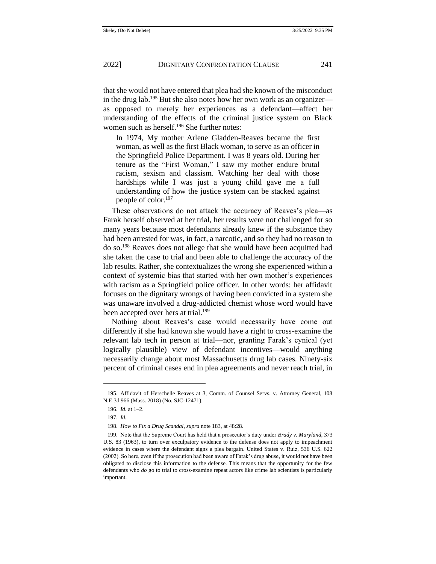that she would not have entered that plea had she known of the misconduct in the drug lab.<sup>195</sup> But she also notes how her own work as an organizer as opposed to merely her experiences as a defendant—affect her understanding of the effects of the criminal justice system on Black women such as herself.<sup>196</sup> She further notes:

In 1974, My mother Arlene Gladden-Reaves became the first woman, as well as the first Black woman, to serve as an officer in the Springfield Police Department. I was 8 years old. During her tenure as the "First Woman," I saw my mother endure brutal racism, sexism and classism. Watching her deal with those hardships while I was just a young child gave me a full understanding of how the justice system can be stacked against people of color.<sup>197</sup>

These observations do not attack the accuracy of Reaves's plea—as Farak herself observed at her trial, her results were not challenged for so many years because most defendants already knew if the substance they had been arrested for was, in fact, a narcotic, and so they had no reason to do so.<sup>198</sup> Reaves does not allege that she would have been acquitted had she taken the case to trial and been able to challenge the accuracy of the lab results. Rather, she contextualizes the wrong she experienced within a context of systemic bias that started with her own mother's experiences with racism as a Springfield police officer. In other words: her affidavit focuses on the dignitary wrongs of having been convicted in a system she was unaware involved a drug-addicted chemist whose word would have been accepted over hers at trial.<sup>199</sup>

Nothing about Reaves's case would necessarily have come out differently if she had known she would have a right to cross-examine the relevant lab tech in person at trial—nor, granting Farak's cynical (yet logically plausible) view of defendant incentives—would anything necessarily change about most Massachusetts drug lab cases. Ninety-six percent of criminal cases end in plea agreements and never reach trial, in

<sup>195.</sup> Affidavit of Herschelle Reaves at 3, Comm. of Counsel Servs. v. Attorney General, 108 N.E.3d 966 (Mass. 2018) (No. SJC-12471).

<sup>196.</sup> *Id.* at 1–2.

<sup>197.</sup> *Id.*

<sup>198.</sup> *How to Fix a Drug Scandal*, *supra* not[e 183,](#page-33-0) at 48:28.

<sup>199.</sup> Note that the Supreme Court has held that a prosecutor's duty under *Brady v. Maryland*, 373 U.S. 83 (1963), to turn over exculpatory evidence to the defense does not apply to impeachment evidence in cases where the defendant signs a plea bargain. United States v. Ruiz, 536 U.S. 622 (2002). So here, even if the prosecution had been aware of Farak's drug abuse, it would not have been obligated to disclose this information to the defense. This means that the opportunity for the few defendants who *do* go to trial to cross-examine repeat actors like crime lab scientists is particularly important.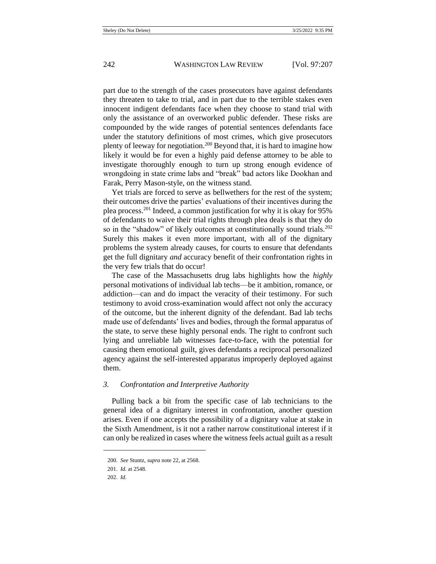part due to the strength of the cases prosecutors have against defendants they threaten to take to trial, and in part due to the terrible stakes even innocent indigent defendants face when they choose to stand trial with only the assistance of an overworked public defender. These risks are compounded by the wide ranges of potential sentences defendants face under the statutory definitions of most crimes, which give prosecutors plenty of leeway for negotiation.<sup>200</sup> Beyond that, it is hard to imagine how likely it would be for even a highly paid defense attorney to be able to investigate thoroughly enough to turn up strong enough evidence of wrongdoing in state crime labs and "break" bad actors like Dookhan and Farak, Perry Mason-style, on the witness stand.

Yet trials are forced to serve as bellwethers for the rest of the system; their outcomes drive the parties' evaluations of their incentives during the plea process.<sup>201</sup> Indeed, a common justification for why it is okay for 95% of defendants to waive their trial rights through plea deals is that they do so in the "shadow" of likely outcomes at constitutionally sound trials.<sup>202</sup> Surely this makes it even more important, with all of the dignitary problems the system already causes, for courts to ensure that defendants get the full dignitary *and* accuracy benefit of their confrontation rights in the very few trials that do occur!

The case of the Massachusetts drug labs highlights how the *highly*  personal motivations of individual lab techs—be it ambition, romance, or addiction—can and do impact the veracity of their testimony. For such testimony to avoid cross-examination would affect not only the accuracy of the outcome, but the inherent dignity of the defendant. Bad lab techs made use of defendants' lives and bodies, through the formal apparatus of the state, to serve these highly personal ends. The right to confront such lying and unreliable lab witnesses face-to-face, with the potential for causing them emotional guilt, gives defendants a reciprocal personalized agency against the self-interested apparatus improperly deployed against them.

### *3. Confrontation and Interpretive Authority*

Pulling back a bit from the specific case of lab technicians to the general idea of a dignitary interest in confrontation, another question arises. Even if one accepts the possibility of a dignitary value at stake in the Sixth Amendment, is it not a rather narrow constitutional interest if it can only be realized in cases where the witness feels actual guilt as a result

<sup>200.</sup> *See* Stuntz, *supra* not[e 22,](#page-4-0) at 2568.

<sup>201.</sup> *Id.* at 2548.

<sup>202.</sup> *Id*.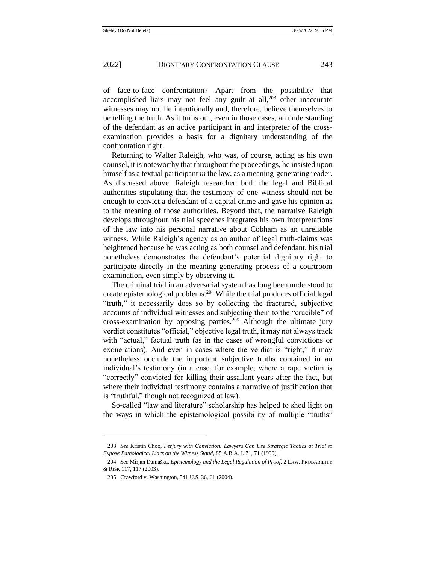of face-to-face confrontation? Apart from the possibility that accomplished liars may not feel any guilt at all, $203$  other inaccurate witnesses may not lie intentionally and, therefore, believe themselves to be telling the truth. As it turns out, even in those cases, an understanding of the defendant as an active participant in and interpreter of the crossexamination provides a basis for a dignitary understanding of the confrontation right.

Returning to Walter Raleigh, who was, of course, acting as his own counsel, it is noteworthy that throughout the proceedings, he insisted upon himself as a textual participant *in* the law, as a meaning-generating reader. As discussed above, Raleigh researched both the legal and Biblical authorities stipulating that the testimony of one witness should not be enough to convict a defendant of a capital crime and gave his opinion as to the meaning of those authorities. Beyond that, the narrative Raleigh develops throughout his trial speeches integrates his own interpretations of the law into his personal narrative about Cobham as an unreliable witness. While Raleigh's agency as an author of legal truth-claims was heightened because he was acting as both counsel and defendant, his trial nonetheless demonstrates the defendant's potential dignitary right to participate directly in the meaning-generating process of a courtroom examination, even simply by observing it.

The criminal trial in an adversarial system has long been understood to create epistemological problems.<sup>204</sup> While the trial produces official legal "truth," it necessarily does so by collecting the fractured, subjective accounts of individual witnesses and subjecting them to the "crucible" of cross-examination by opposing parties.<sup>205</sup> Although the ultimate jury verdict constitutes "official," objective legal truth, it may not always track with "actual," factual truth (as in the cases of wrongful convictions or exonerations). And even in cases where the verdict is "right," it may nonetheless occlude the important subjective truths contained in an individual's testimony (in a case, for example, where a rape victim is "correctly" convicted for killing their assailant years after the fact, but where their individual testimony contains a narrative of justification that is "truthful," though not recognized at law).

So-called "law and literature" scholarship has helped to shed light on the ways in which the epistemological possibility of multiple "truths"

<sup>203.</sup> *See* Kristin Choo, *Perjury with Conviction: Lawyers Can Use Strategic Tactics at Trial to Expose Pathological Liars on the Witness Stand*, 85 A.B.A. J. 71, 71 (1999).

<sup>204.</sup> *See* Mirjan Damaška, *Epistemology and the Legal Regulation of Proof*, 2 LAW, PROBABILITY & RISK 117, 117 (2003).

<sup>205.</sup> Crawford v. Washington, 541 U.S. 36, 61 (2004).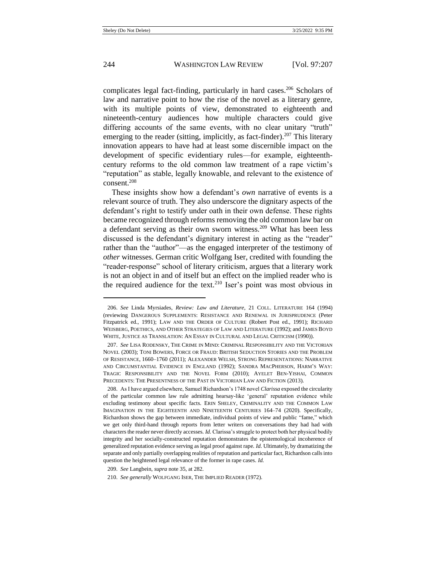complicates legal fact-finding, particularly in hard cases.<sup>206</sup> Scholars of law and narrative point to how the rise of the novel as a literary genre, with its multiple points of view, demonstrated to eighteenth and nineteenth-century audiences how multiple characters could give differing accounts of the same events, with no clear unitary "truth" emerging to the reader (sitting, implicitly, as fact-finder).<sup>207</sup> This literary innovation appears to have had at least some discernible impact on the development of specific evidentiary rules—for example, eighteenthcentury reforms to the old common law treatment of a rape victim's "reputation" as stable, legally knowable, and relevant to the existence of consent. 208

These insights show how a defendant's *own* narrative of events is a relevant source of truth. They also underscore the dignitary aspects of the defendant's right to testify under oath in their own defense. These rights became recognized through reforms removing the old common law bar on a defendant serving as their own sworn witness.<sup>209</sup> What has been less discussed is the defendant's dignitary interest in acting as the "reader" rather than the "author"—as the engaged interpreter of the testimony of *other* witnesses. German critic Wolfgang Iser, credited with founding the "reader-response" school of literary criticism, argues that a literary work is not an object in and of itself but an effect on the implied reader who is the required audience for the text.<sup>210</sup> Iser's point was most obvious in

<sup>206.</sup> *See* Linda Myrsiades, *Review: Law and Literature*, 21 COLL. LITERATURE 164 (1994) (reviewing DANGEROUS SUPPLEMENTS: RESISTANCE AND RENEWAL IN JURISPRUDENCE (Peter Fitzpatrick ed., 1991); LAW AND THE ORDER OF CULTURE (Robert Post ed., 1991); RICHARD WEISBERG, POETHICS, AND OTHER STRATEGIES OF LAW AND LITERATURE (1992); and JAMES BOYD WHITE, JUSTICE AS TRANSLATION: AN ESSAY IN CULTURAL AND LEGAL CRITICISM (1990)).

<sup>207.</sup> *See* LISA RODENSKY, THE CRIME IN MIND: CRIMINAL RESPONSIBILITY AND THE VICTORIAN NOVEL (2003); TONI BOWERS, FORCE OR FRAUD: BRITISH SEDUCTION STORIES AND THE PROBLEM OF RESISTANCE, 1660–1760 (2011); ALEXANDER WELSH, STRONG REPRESENTATIONS: NARRATIVE AND CIRCUMSTANTIAL EVIDENCE IN ENGLAND (1992); SANDRA MACPHERSON, HARM'S WAY: TRAGIC RESPONSIBILITY AND THE NOVEL FORM (2010); AYELET BEN-YISHAI, COMMON PRECEDENTS: THE PRESENTNESS OF THE PAST IN VICTORIAN LAW AND FICTION (2013).

<sup>208.</sup> As I have argued elsewhere, Samuel Richardson's 1748 novel *Clarissa* exposed the circularity of the particular common law rule admitting hearsay-like 'general' reputation evidence while excluding testimony about specific facts. ERIN SHELEY, CRIMINALITY AND THE COMMON LAW IMAGINATION IN THE EIGHTEENTH AND NINETEENTH CENTURIES 164–74 (2020). Specifically, Richardson shows the gap between immediate, individual points of view and public "fame," which we get only third-hand through reports from letter writers on conversations they had had with characters the reader never directly accesses. *Id.* Clarissa's struggle to protect both her physical bodily integrity and her socially-constructed reputation demonstrates the epistemological incoherence of generalized reputation evidence serving as legal proof against rape. *Id.* Ultimately, by dramatizing the separate and only partially overlapping realities of reputation and particular fact, Richardson calls into question the heightened legal relevance of the former in rape cases. *Id.*

<sup>209.</sup> *See* Langbein, *supra* not[e 35,](#page-7-0) at 282.

<sup>210.</sup> *See generally* WOLFGANG ISER, THE IMPLIED READER (1972).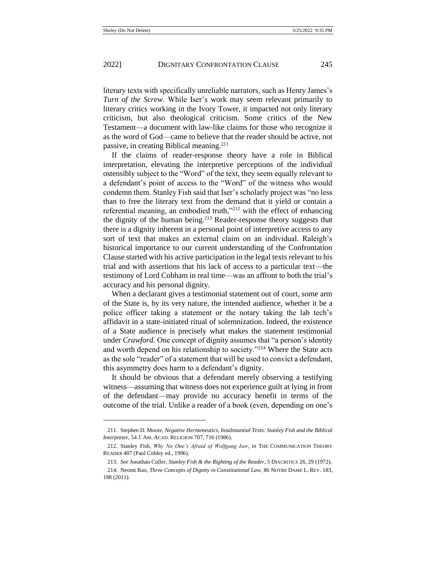literary texts with specifically unreliable narrators, such as Henry James's *Turn of the Screw*. While Iser's work may seem relevant primarily to literary critics working in the Ivory Tower, it impacted not only literary criticism, but also theological criticism. Some critics of the New Testament—a document with law-like claims for those who recognize it as the word of God—came to believe that the reader should be active, not passive, in creating Biblical meaning.<sup>211</sup>

If the claims of reader-response theory have a role in Biblical interpretation, elevating the interpretive perceptions of the individual ostensibly subject to the "Word" of the text, they seem equally relevant to a defendant's point of access to the "Word" of the witness who would condemn them. Stanley Fish said that Iser's scholarly project was "no less than to free the literary text from the demand that it yield or contain a referential meaning, an embodied truth,"<sup>212</sup> with the effect of enhancing the dignity of the human being.<sup>213</sup> Reader-response theory suggests that there is a dignity inherent in a personal point of interpretive access to any sort of text that makes an external claim on an individual. Raleigh's historical importance to our current understanding of the Confrontation Clause started with his active participation in the legal texts relevant to his trial and with assertions that his lack of access to a particular text—the testimony of Lord Cobham in real time—was an affront to both the trial's accuracy and his personal dignity.

When a declarant gives a testimonial statement out of court, some arm of the State is, by its very nature, the intended audience, whether it be a police officer taking a statement or the notary taking the lab tech's affidavit in a state-initiated ritual of solemnization. Indeed, the existence of a State audience is precisely what makes the statement testimonial under *Crawford.* One concept of dignity assumes that "a person's identity and worth depend on his relationship to society."<sup>214</sup> Where the State acts as the sole "reader" of a statement that will be used to convict a defendant, this asymmetry does harm to a defendant's dignity.

<span id="page-39-0"></span>It should be obvious that a defendant merely observing a testifying witness—assuming that witness does not experience guilt at lying in front of the defendant—may provide no accuracy benefit in terms of the outcome of the trial. Unlike a reader of a book (even, depending on one's

<sup>211.</sup> Stephen D. Moore, *Negative Hermeneutics, Insubstantial Texts: Stanley Fish and the Biblical Interpreter*, 54 J. AM. ACAD. RELIGION 707, 716 (1986).

<sup>212.</sup> Stanley Fish, *Why No One's Afraid of Wolfgang Iser*, *in* THE COMMUNICATION THEORY READER 407 (Paul Cobley ed., 1996).

<sup>213.</sup> *See* Jonathan Culler, *Stanley Fish & the Righting of the Reader*, 5 DIACRITICS 26, 29 (1972).

<sup>214.</sup> Neomi Rao, *Three Concepts of Dignity in Constitutional Law*, 86 NOTRE DAME L. REV. 183, 188 (2011).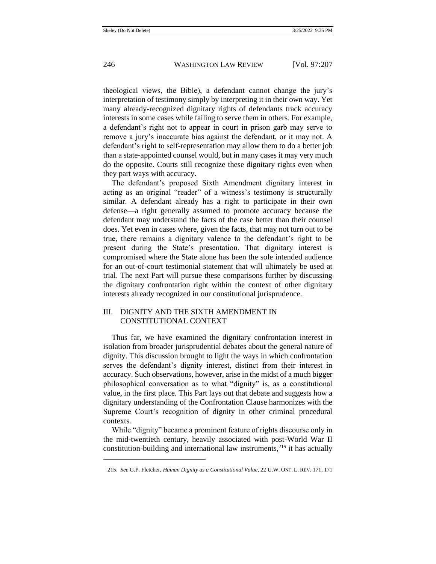theological views, the Bible), a defendant cannot change the jury's interpretation of testimony simply by interpreting it in their own way. Yet many already-recognized dignitary rights of defendants track accuracy interests in some cases while failing to serve them in others. For example, a defendant's right not to appear in court in prison garb may serve to remove a jury's inaccurate bias against the defendant, or it may not. A defendant's right to self-representation may allow them to do a better job than a state-appointed counsel would, but in many cases it may very much do the opposite. Courts still recognize these dignitary rights even when they part ways with accuracy.

The defendant's proposed Sixth Amendment dignitary interest in acting as an original "reader" of a witness's testimony is structurally similar. A defendant already has a right to participate in their own defense—a right generally assumed to promote accuracy because the defendant may understand the facts of the case better than their counsel does. Yet even in cases where, given the facts, that may not turn out to be true, there remains a dignitary valence to the defendant's right to be present during the State's presentation. That dignitary interest is compromised where the State alone has been the sole intended audience for an out-of-court testimonial statement that will ultimately be used at trial. The next Part will pursue these comparisons further by discussing the dignitary confrontation right within the context of other dignitary interests already recognized in our constitutional jurisprudence.

## III. DIGNITY AND THE SIXTH AMENDMENT IN CONSTITUTIONAL CONTEXT

Thus far, we have examined the dignitary confrontation interest in isolation from broader jurisprudential debates about the general nature of dignity. This discussion brought to light the ways in which confrontation serves the defendant's dignity interest, distinct from their interest in accuracy. Such observations, however, arise in the midst of a much bigger philosophical conversation as to what "dignity" is, as a constitutional value, in the first place. This Part lays out that debate and suggests how a dignitary understanding of the Confrontation Clause harmonizes with the Supreme Court's recognition of dignity in other criminal procedural contexts.

While "dignity" became a prominent feature of rights discourse only in the mid-twentieth century, heavily associated with post-World War II constitution-building and international law instruments, $^{215}$  it has actually

<span id="page-40-0"></span><sup>215.</sup> *See* G.P. Fletcher, *Human Dignity as a Constitutional Value*, 22 U.W. ONT. L. REV. 171, 171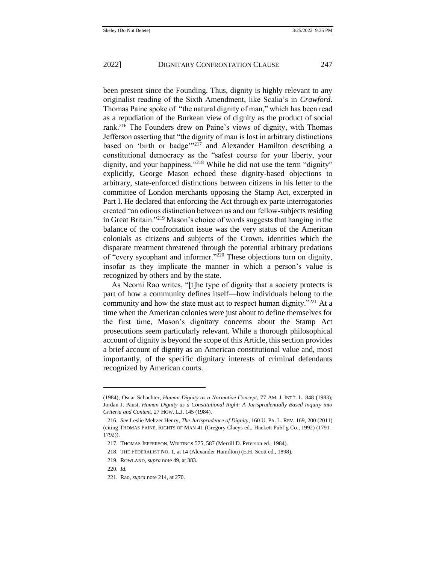<span id="page-41-0"></span>been present since the Founding. Thus, dignity is highly relevant to any originalist reading of the Sixth Amendment, like Scalia's in *Crawford*. Thomas Paine spoke of "the natural dignity of man," which has been read as a repudiation of the Burkean view of dignity as the product of social rank.<sup>216</sup> The Founders drew on Paine's views of dignity, with Thomas Jefferson asserting that "the dignity of man is lost in arbitrary distinctions based on 'birth or badge'"<sup>217</sup> and Alexander Hamilton describing a constitutional democracy as the "safest course for your liberty, your dignity, and your happiness."<sup>218</sup> While he did not use the term "dignity" explicitly, George Mason echoed these dignity-based objections to arbitrary, state-enforced distinctions between citizens in his letter to the committee of London merchants opposing the Stamp Act, excerpted in Part I. He declared that enforcing the Act through ex parte interrogatories created "an odious distinction between us and our fellow-subjects residing in Great Britain."<sup>219</sup> Mason's choice of words suggests that hanging in the balance of the confrontation issue was the very status of the American colonials as citizens and subjects of the Crown, identities which the disparate treatment threatened through the potential arbitrary predations of "every sycophant and informer."<sup>220</sup> These objections turn on dignity, insofar as they implicate the manner in which a person's value is recognized by others and by the state.

As Neomi Rao writes, "[t]he type of dignity that a society protects is part of how a community defines itself—how individuals belong to the community and how the state must act to respect human dignity."<sup>221</sup> At a time when the American colonies were just about to define themselves for the first time, Mason's dignitary concerns about the Stamp Act prosecutions seem particularly relevant. While a thorough philosophical account of dignity is beyond the scope of this Article, this section provides a brief account of dignity as an American constitutional value and, most importantly, of the specific dignitary interests of criminal defendants recognized by American courts.

221. Rao, *supra* not[e 214,](#page-39-0) at 270.

<sup>(1984);</sup> Oscar Schachter, *Human Dignity as a Normative Concept*, 77 AM. J. INT'L L. 848 (1983); Jordan J. Paust, *Human Dignity as a Constitutional Right: A Jurisprudentially Based Inquiry into Criteria and Content*, 27 HOW. L.J. 145 (1984).

<sup>216.</sup> *See* Leslie Meltzer Henry, *The Jurisprudence of Dignity*, 160 U. PA. L. REV. 169, 200 (2011) (citing THOMAS PAINE, RIGHTS OF MAN 41 (Gregory Claeys ed., Hackett Publ'g Co., 1992) (1791– 1792)).

<sup>217.</sup> THOMAS JEFFERSON, WRITINGS 575, 587 (Merrill D. Peterson ed., 1984).

<sup>218.</sup> THE FEDERALIST NO. 1, at 14 (Alexander Hamilton) (E.H. Scott ed., 1898).

<sup>219.</sup> ROWLAND, *supra* not[e 49,](#page-8-0) at 383.

<sup>220.</sup> *Id.*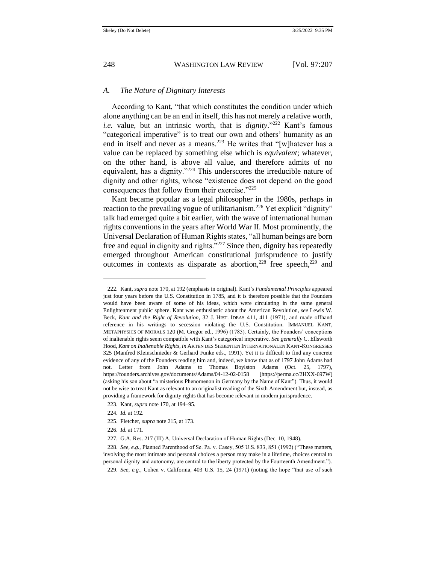## *A. The Nature of Dignitary Interests*

According to Kant, "that which constitutes the condition under which alone anything can be an end in itself, this has not merely a relative worth, *i.e.* value, but an intrinsic worth, that is *dignity*."<sup>222</sup> Kant's famous "categorical imperative" is to treat our own and others' humanity as an end in itself and never as a means.<sup>223</sup> He writes that "[w]hatever has a value can be replaced by something else which is *equivalent*; whatever, on the other hand, is above all value, and therefore admits of no equivalent, has a dignity."<sup>224</sup> This underscores the irreducible nature of dignity and other rights, whose "existence does not depend on the good consequences that follow from their exercise."<sup>225</sup>

Kant became popular as a legal philosopher in the 1980s, perhaps in reaction to the prevailing vogue of utilitarianism.<sup>226</sup> Yet explicit "dignity" talk had emerged quite a bit earlier, with the wave of international human rights conventions in the years after World War II. Most prominently, the Universal Declaration of Human Rights states, "all human beings are born free and equal in dignity and rights."<sup>227</sup> Since then, dignity has repeatedly emerged throughout American constitutional jurisprudence to justify outcomes in contexts as disparate as abortion,<sup>228</sup> free speech, $229$  and

<sup>222.</sup> Kant, *supra* not[e 170,](#page-29-1) at 192 (emphasis in original). Kant's *Fundamental Principles* appeared just four years before the U.S. Constitution in 1785, and it is therefore possible that the Founders would have been aware of some of his ideas, which were circulating in the same general Enlightenment public sphere. Kant was enthusiastic about the American Revolution, *see* Lewis W. Beck, *Kant and the Right of Revolution*, 32 J. HIST. IDEAS 411, 411 (1971), and made offhand reference in his writings to secession violating the U.S. Constitution. IMMANUEL KANT, METAPHYSICS OF MORALS 120 (M. Gregor ed., 1996) (1785). Certainly, the Founders' conceptions of inalienable rights seem compatible with Kant's categorical imperative. *See generally* C. Ellsworth Hood, *Kant on Inalienable Rights*, *in* AKTEN DES SIEBENTEN INTERNATIONALEN KANT-KONGRESSES 325 (Manfred Kleinschnieder & Gerhard Funke eds., 1991). Yet it is difficult to find any concrete evidence of any of the Founders reading him and, indeed, we know that as of 1797 John Adams had not. Letter from John Adams to Thomas Boylston Adams (Oct. 25, 1797), https://founders.archives.gov/documents/Adams/04-12-02-0158 [https://perma.cc/2HXX-697W] (asking his son about "a misterious Phenomenon in Germany by the Name of Kant"). Thus, it would not be wise to treat Kant as relevant to an originalist reading of the Sixth Amendment but, instead, as providing a framework for dignity rights that has become relevant in modern jurisprudence.

<sup>223.</sup> Kant, *supra* not[e 170,](#page-29-1) at 194–95.

<sup>224.</sup> *Id.* at 192.

<sup>225.</sup> Fletcher, *supra* not[e 215,](#page-40-0) at 173.

<sup>226.</sup> *Id.* at 171.

<sup>227.</sup> G.A. Res. 217 (III) A, Universal Declaration of Human Rights (Dec. 10, 1948).

<sup>228.</sup> *See, e.g.*, Planned Parenthood of Se. Pa. v. Casey, 505 U.S. 833, 851 (1992) ("These matters, involving the most intimate and personal choices a person may make in a lifetime, choices central to personal dignity and autonomy, are central to the liberty protected by the Fourteenth Amendment.").

<sup>229.</sup> *See, e.g.*, Cohen v. California, 403 U.S. 15, 24 (1971) (noting the hope "that use of such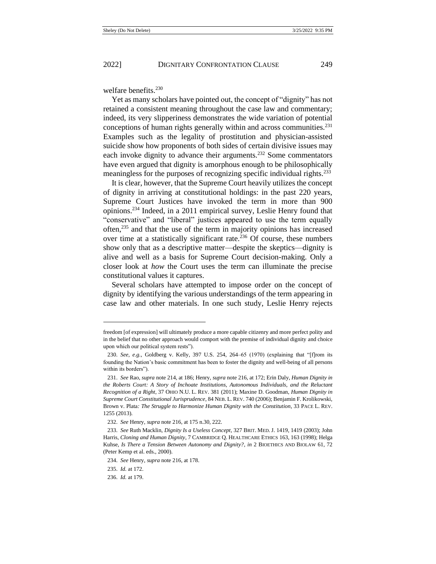welfare benefits.<sup>230</sup>

Yet as many scholars have pointed out, the concept of "dignity" has not retained a consistent meaning throughout the case law and commentary; indeed, its very slipperiness demonstrates the wide variation of potential conceptions of human rights generally within and across communities. $^{231}$ Examples such as the legality of prostitution and physician-assisted suicide show how proponents of both sides of certain divisive issues may each invoke dignity to advance their arguments.<sup>232</sup> Some commentators have even argued that dignity is amorphous enough to be philosophically meaningless for the purposes of recognizing specific individual rights.<sup>233</sup>

It is clear, however, that the Supreme Court heavily utilizes the concept of dignity in arriving at constitutional holdings: in the past 220 years, Supreme Court Justices have invoked the term in more than 900 opinions.<sup>234</sup> Indeed, in a 2011 empirical survey, Leslie Henry found that "conservative" and "liberal" justices appeared to use the term equally often,<sup>235</sup> and that the use of the term in majority opinions has increased over time at a statistically significant rate.<sup>236</sup> Of course, these numbers show only that as a descriptive matter—despite the skeptics—dignity is alive and well as a basis for Supreme Court decision-making. Only a closer look at *how* the Court uses the term can illuminate the precise constitutional values it captures.

Several scholars have attempted to impose order on the concept of dignity by identifying the various understandings of the term appearing in case law and other materials. In one such study, Leslie Henry rejects

freedom [of expression] will ultimately produce a more capable citizenry and more perfect polity and in the belief that no other approach would comport with the premise of individual dignity and choice upon which our political system rests").

<sup>230.</sup> *See, e.g.*, Goldberg v. Kelly, 397 U.S. 254, 264–65 (1970) (explaining that "[f]rom its founding the Nation's basic commitment has been to foster the dignity and well-being of all persons within its borders").

<sup>231.</sup> *See* Rao, *supra* not[e 214,](#page-39-0) at 186; Henry, *supra* not[e 216,](#page-41-0) at 172; Erin Daly, *Human Dignity in the Roberts Court: A Story of Inchoate Institutions, Autonomous Individuals, and the Reluctant Recognition of a Right*, 37 OHIO N.U. L. REV. 381 (2011); Maxine D. Goodman, *Human Dignity in Supreme Court Constitutional Jurisprudence*, 84 NEB. L. REV. 740 (2006); Benjamin F. Krolikowski, Brown v. Plata*: The Struggle to Harmonize Human Dignity with the Constitution*, 33 PACE L. REV. 1255 (2013).

<sup>232.</sup> *See* Henry, *supra* not[e 216,](#page-41-0) at 175 n.30, 222.

<sup>233.</sup> *See* Ruth Macklin, *Dignity Is a Useless Concept*, 327 BRIT. MED. J. 1419, 1419 (2003); John Harris, *Cloning and Human Dignity*, 7 CAMBRIDGE Q. HEALTHCARE ETHICS 163, 163 (1998); Helga Kuhse, *Is There a Tension Between Autonomy and Dignity?*, *in* 2 BIOETHICS AND BIOLAW 61, 72 (Peter Kemp et al. eds., 2000).

<sup>234.</sup> *See* Henry, *supra* not[e 216,](#page-41-0) at 178.

<sup>235.</sup> *Id.* at 172.

<sup>236.</sup> *Id.* at 179.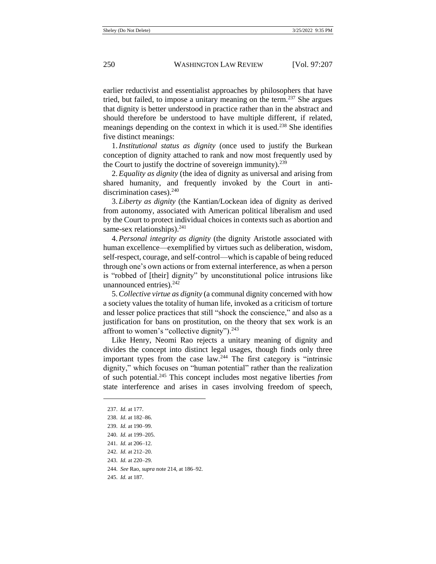earlier reductivist and essentialist approaches by philosophers that have tried, but failed, to impose a unitary meaning on the term.<sup>237</sup> She argues that dignity is better understood in practice rather than in the abstract and should therefore be understood to have multiple different, if related, meanings depending on the context in which it is used.<sup>238</sup> She identifies five distinct meanings:

1.*Institutional status as dignity* (once used to justify the Burkean conception of dignity attached to rank and now most frequently used by the Court to justify the doctrine of sovereign immunity).<sup>239</sup>

2.*Equality as dignity* (the idea of dignity as universal and arising from shared humanity, and frequently invoked by the Court in antidiscrimination cases).<sup>240</sup>

3. *Liberty as dignity* (the Kantian/Lockean idea of dignity as derived from autonomy, associated with American political liberalism and used by the Court to protect individual choices in contexts such as abortion and same-sex relationships). $^{241}$ 

4.*Personal integrity as dignity* (the dignity Aristotle associated with human excellence—exemplified by virtues such as deliberation, wisdom, self-respect, courage, and self-control—which is capable of being reduced through one's own actions or from external interference, as when a person is "robbed of [their] dignity" by unconstitutional police intrusions like unannounced entries). $242$ 

5.*Collective virtue as dignity* (a communal dignity concerned with how a society values the totality of human life, invoked as a criticism of torture and lesser police practices that still "shock the conscience," and also as a justification for bans on prostitution, on the theory that sex work is an affront to women's "collective dignity").<sup>243</sup>

Like Henry, Neomi Rao rejects a unitary meaning of dignity and divides the concept into distinct legal usages, though finds only three important types from the case  $\text{law}^2$ . The first category is "intrinsic dignity," which focuses on "human potential" rather than the realization of such potential.<sup>245</sup> This concept includes most negative liberties *from*  state interference and arises in cases involving freedom of speech,

- 244. *See* Rao, *supra* not[e 214,](#page-39-0) at 186–92.
- 245. *Id.* at 187.

<sup>237.</sup> *Id.* at 177.

<sup>238.</sup> *Id*. at 182–86.

<sup>239.</sup> *Id.* at 190–99.

<sup>240.</sup> *Id.* at 199–205.

<sup>241.</sup> *Id.* at 206–12.

<sup>242.</sup> *Id.* at 212–20.

<sup>243.</sup> *Id.* at 220–29.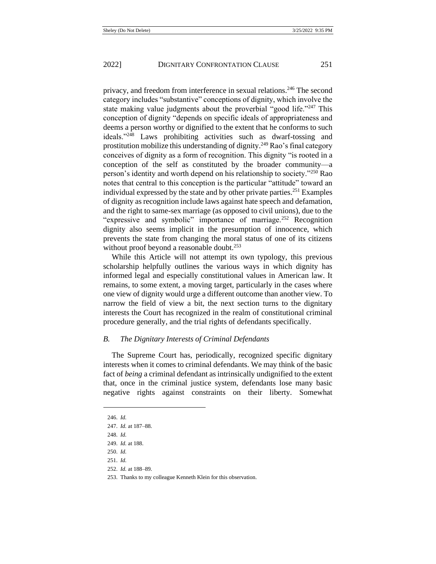privacy, and freedom from interference in sexual relations.<sup>246</sup> The second category includes "substantive" conceptions of dignity, which involve the state making value judgments about the proverbial "good life."<sup>247</sup> This conception of dignity "depends on specific ideals of appropriateness and deems a person worthy or dignified to the extent that he conforms to such ideals."<sup>248</sup> Laws prohibiting activities such as dwarf-tossing and prostitution mobilize this understanding of dignity.<sup>249</sup> Rao's final category conceives of dignity as a form of recognition. This dignity "is rooted in a conception of the self as constituted by the broader community—a person's identity and worth depend on his relationship to society."<sup>250</sup> Rao notes that central to this conception is the particular "attitude" toward an individual expressed by the state and by other private parties.<sup>251</sup> Examples of dignity as recognition include laws against hate speech and defamation, and the right to same-sex marriage (as opposed to civil unions), due to the "expressive and symbolic" importance of marriage.<sup>252</sup> Recognition dignity also seems implicit in the presumption of innocence, which prevents the state from changing the moral status of one of its citizens without proof beyond a reasonable doubt.<sup>253</sup>

While this Article will not attempt its own typology, this previous scholarship helpfully outlines the various ways in which dignity has informed legal and especially constitutional values in American law. It remains, to some extent, a moving target, particularly in the cases where one view of dignity would urge a different outcome than another view. To narrow the field of view a bit, the next section turns to the dignitary interests the Court has recognized in the realm of constitutional criminal procedure generally, and the trial rights of defendants specifically.

#### *B. The Dignitary Interests of Criminal Defendants*

The Supreme Court has, periodically, recognized specific dignitary interests when it comes to criminal defendants. We may think of the basic fact of *being* a criminal defendant as intrinsically undignified to the extent that, once in the criminal justice system, defendants lose many basic negative rights against constraints on their liberty. Somewhat

248. *Id.*

250. *Id.* 

<sup>246.</sup> *Id.*

<sup>247.</sup> *Id.* at 187–88.

<sup>249.</sup> *Id.* at 188.

<sup>251.</sup> *Id.*

<sup>252.</sup> *Id.* at 188–89.

<sup>253.</sup> Thanks to my colleague Kenneth Klein for this observation.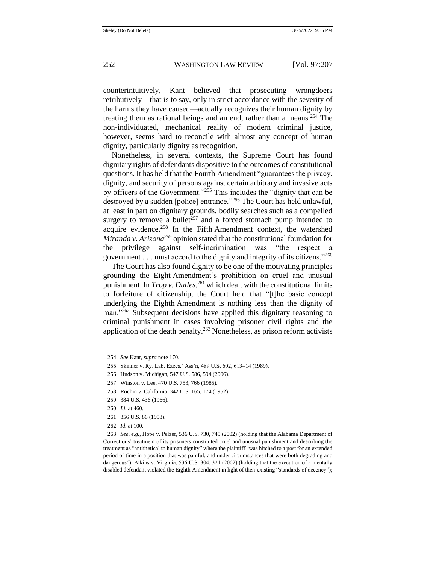counterintuitively, Kant believed that prosecuting wrongdoers retributively—that is to say, only in strict accordance with the severity of the harms they have caused—actually recognizes their human dignity by treating them as rational beings and an end, rather than a means.<sup>254</sup> The non-individuated, mechanical reality of modern criminal justice, however, seems hard to reconcile with almost any concept of human dignity, particularly dignity as recognition.

Nonetheless, in several contexts, the Supreme Court has found dignitary rights of defendants dispositive to the outcomes of constitutional questions. It has held that the Fourth Amendment "guarantees the privacy, dignity, and security of persons against certain arbitrary and invasive acts by officers of the Government."<sup>255</sup> This includes the "dignity that can be destroyed by a sudden [police] entrance."<sup>256</sup> The Court has held unlawful, at least in part on dignitary grounds, bodily searches such as a compelled surgery to remove a bullet<sup>257</sup> and a forced stomach pump intended to acquire evidence.<sup>258</sup> In the Fifth Amendment context, the watershed *Miranda v. Arizona*<sup>259</sup> opinion stated that the constitutional foundation for the privilege against self-incrimination was "the respect a government . . . must accord to the dignity and integrity of its citizens."<sup>260</sup>

The Court has also found dignity to be one of the motivating principles grounding the Eight Amendment's prohibition on cruel and unusual punishment. In *Trop v. Dulles*, <sup>261</sup> which dealt with the constitutional limits to forfeiture of citizenship, the Court held that "[t]he basic concept underlying the Eighth Amendment is nothing less than the dignity of man."<sup>262</sup> Subsequent decisions have applied this dignitary reasoning to criminal punishment in cases involving prisoner civil rights and the application of the death penalty.<sup>263</sup> Nonetheless, as prison reform activists

261. 356 U.S. 86 (1958).

<sup>254.</sup> *See* Kant, *supra* not[e 170.](#page-29-1)

<sup>255.</sup> Skinner v. Ry. Lab. Execs.' Ass'n, 489 U.S. 602, 613–14 (1989).

<sup>256.</sup> Hudson v. Michigan, 547 U.S. 586, 594 (2006).

<sup>257.</sup> Winston v. Lee, 470 U.S. 753, 766 (1985).

<sup>258.</sup> Rochin v. California, 342 U.S. 165, 174 (1952).

<sup>259.</sup> 384 U.S. 436 (1966).

<sup>260.</sup> *Id.* at 460.

<sup>262.</sup> *Id.* at 100.

<sup>263.</sup> *See, e.g.*, Hope v. Pelzer, 536 U.S. 730, 745 (2002) (holding that the Alabama Department of Corrections' treatment of its prisoners constituted cruel and unusual punishment and describing the treatment as "antithetical to human dignity" where the plaintiff "was hitched to a post for an extended period of time in a position that was painful, and under circumstances that were both degrading and dangerous"); Atkins v. Virginia, 536 U.S. 304, 321 (2002) (holding that the execution of a mentally disabled defendant violated the Eighth Amendment in light of then-existing "standards of decency");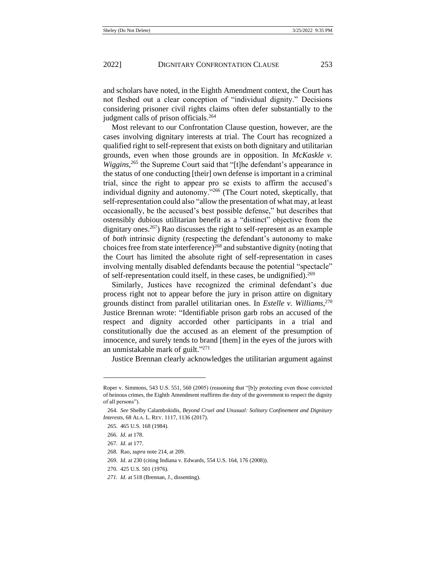and scholars have noted, in the Eighth Amendment context, the Court has not fleshed out a clear conception of "individual dignity." Decisions considering prisoner civil rights claims often defer substantially to the judgment calls of prison officials.<sup>264</sup>

Most relevant to our Confrontation Clause question, however, are the cases involving dignitary interests at trial. The Court has recognized a qualified right to self-represent that exists on both dignitary and utilitarian grounds, even when those grounds are in opposition. In *McKaskle v. Wiggins*, <sup>265</sup> the Supreme Court said that "[t]he defendant's appearance in the status of one conducting [their] own defense is important in a criminal trial, since the right to appear pro se exists to affirm the accused's individual dignity and autonomy."<sup>266</sup> (The Court noted, skeptically, that self-representation could also "allow the presentation of what may, at least occasionally, be the accused's best possible defense," but describes that ostensibly dubious utilitarian benefit as a "distinct" objective from the dignitary ones.<sup>267</sup>) Rao discusses the right to self-represent as an example of *both* intrinsic dignity (respecting the defendant's autonomy to make choices free from state interference)<sup>268</sup> and substantive dignity (noting that the Court has limited the absolute right of self-representation in cases involving mentally disabled defendants because the potential "spectacle" of self-representation could itself, in these cases, be undignified).<sup>269</sup>

Similarly, Justices have recognized the criminal defendant's due process right not to appear before the jury in prison attire on dignitary grounds distinct from parallel utilitarian ones. In *Estelle v. Williams*, 270 Justice Brennan wrote: "Identifiable prison garb robs an accused of the respect and dignity accorded other participants in a trial and constitutionally due the accused as an element of the presumption of innocence, and surely tends to brand [them] in the eyes of the jurors with an unmistakable mark of guilt."<sup>271</sup>

Justice Brennan clearly acknowledges the utilitarian argument against

Roper v. Simmons, 543 U.S. 551, 560 (2005) (reasoning that "[b]y protecting even those convicted of heinous crimes, the Eighth Amendment reaffirms the duty of the government to respect the dignity of all persons").

<sup>264.</sup> *See* Shelby Calambokidis, *Beyond Cruel and Unusual: Solitary Confinement and Dignitary Interests*, 68 ALA. L. REV. 1117, 1136 (2017).

<sup>265.</sup> 465 U.S. 168 (1984).

<sup>266.</sup> *Id.* at 178.

<sup>267.</sup> *Id.* at 177.

<sup>268.</sup> Rao, *supra* not[e 214,](#page-39-0) at 209.

<sup>269.</sup> *Id.* at 230 (citing Indiana v. Edwards, 554 U.S. 164, 176 (2008)).

<sup>270.</sup> 425 U.S. 501 (1976).

*<sup>271.</sup> Id*. at 518 (Brennan, J., dissenting).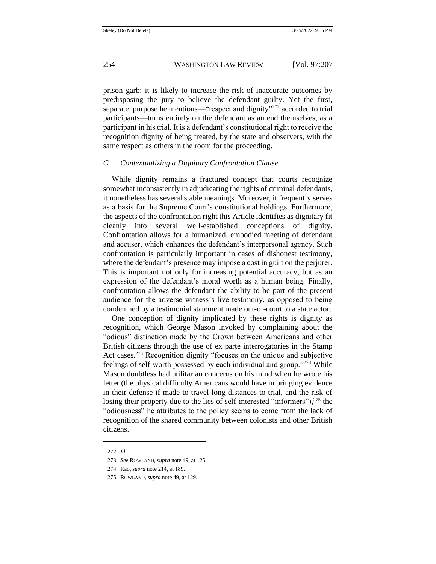prison garb: it is likely to increase the risk of inaccurate outcomes by predisposing the jury to believe the defendant guilty. Yet the first, separate, purpose he mentions—"respect and dignity"<sup>272</sup> accorded to trial participants—turns entirely on the defendant as an end themselves, as a participant in his trial. It is a defendant's constitutional right to receive the recognition dignity of being treated, by the state and observers, with the same respect as others in the room for the proceeding.

## *C. Contextualizing a Dignitary Confrontation Clause*

While dignity remains a fractured concept that courts recognize somewhat inconsistently in adjudicating the rights of criminal defendants, it nonetheless has several stable meanings. Moreover, it frequently serves as a basis for the Supreme Court's constitutional holdings. Furthermore, the aspects of the confrontation right this Article identifies as dignitary fit cleanly into several well-established conceptions of dignity. Confrontation allows for a humanized, embodied meeting of defendant and accuser, which enhances the defendant's interpersonal agency. Such confrontation is particularly important in cases of dishonest testimony, where the defendant's presence may impose a cost in guilt on the perjurer. This is important not only for increasing potential accuracy, but as an expression of the defendant's moral worth as a human being. Finally, confrontation allows the defendant the ability to be part of the present audience for the adverse witness's live testimony, as opposed to being condemned by a testimonial statement made out-of-court to a state actor.

One conception of dignity implicated by these rights is dignity as recognition, which George Mason invoked by complaining about the "odious" distinction made by the Crown between Americans and other British citizens through the use of ex parte interrogatories in the Stamp Act cases.<sup>273</sup> Recognition dignity "focuses on the unique and subjective feelings of self-worth possessed by each individual and group."<sup>274</sup> While Mason doubtless had utilitarian concerns on his mind when he wrote his letter (the physical difficulty Americans would have in bringing evidence in their defense if made to travel long distances to trial, and the risk of losing their property due to the lies of self-interested "informers"), <sup>275</sup> the "odiousness" he attributes to the policy seems to come from the lack of recognition of the shared community between colonists and other British citizens.

<sup>272.</sup> *Id.* 

<sup>273.</sup> *See* ROWLAND, *supra* not[e 49,](#page-8-0) at 125.

<sup>274.</sup> Rao, *supra* not[e 214,](#page-39-0) at 189.

<sup>275.</sup> ROWLAND, *supra* not[e 49,](#page-8-0) at 129.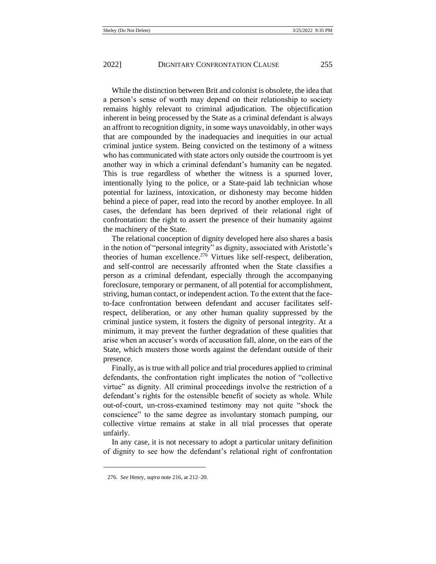While the distinction between Brit and colonist is obsolete, the idea that a person's sense of worth may depend on their relationship to society remains highly relevant to criminal adjudication. The objectification inherent in being processed by the State as a criminal defendant is always an affront to recognition dignity, in some ways unavoidably, in other ways that are compounded by the inadequacies and inequities in our actual criminal justice system. Being convicted on the testimony of a witness who has communicated with state actors only outside the courtroom is yet another way in which a criminal defendant's humanity can be negated. This is true regardless of whether the witness is a spurned lover, intentionally lying to the police, or a State-paid lab technician whose potential for laziness, intoxication, or dishonesty may become hidden behind a piece of paper, read into the record by another employee. In all cases, the defendant has been deprived of their relational right of confrontation: the right to assert the presence of their humanity against the machinery of the State.

The relational conception of dignity developed here also shares a basis in the notion of "personal integrity" as dignity, associated with Aristotle's theories of human excellence.<sup>276</sup> Virtues like self-respect, deliberation, and self-control are necessarily affronted when the State classifies a person as a criminal defendant, especially through the accompanying foreclosure, temporary or permanent, of all potential for accomplishment, striving, human contact, or independent action. To the extent that the faceto-face confrontation between defendant and accuser facilitates selfrespect, deliberation, or any other human quality suppressed by the criminal justice system, it fosters the dignity of personal integrity. At a minimum, it may prevent the further degradation of these qualities that arise when an accuser's words of accusation fall, alone, on the ears of the State, which musters those words against the defendant outside of their presence.

Finally, as is true with all police and trial procedures applied to criminal defendants, the confrontation right implicates the notion of "collective virtue" as dignity. All criminal proceedings involve the restriction of a defendant's rights for the ostensible benefit of society as whole. While out-of-court, un-cross-examined testimony may not quite "shock the conscience" to the same degree as involuntary stomach pumping, our collective virtue remains at stake in all trial processes that operate unfairly.

In any case, it is not necessary to adopt a particular unitary definition of dignity to see how the defendant's relational right of confrontation

<sup>276.</sup> *See* Henry, *supra* not[e 216,](#page-41-0) at 212–20.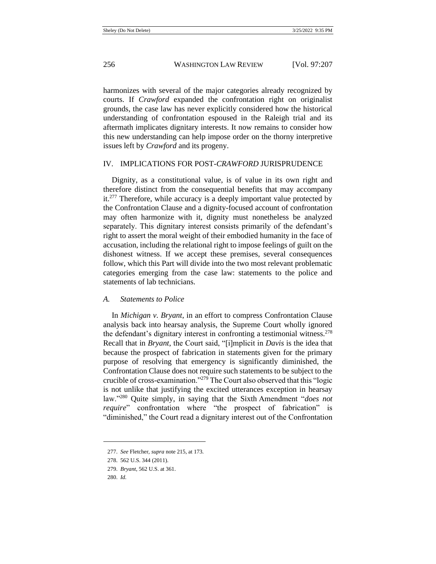harmonizes with several of the major categories already recognized by courts. If *Crawford* expanded the confrontation right on originalist grounds, the case law has never explicitly considered how the historical understanding of confrontation espoused in the Raleigh trial and its aftermath implicates dignitary interests. It now remains to consider how this new understanding can help impose order on the thorny interpretive issues left by *Crawford* and its progeny.

#### IV. IMPLICATIONS FOR POST-*CRAWFORD* JURISPRUDENCE

Dignity, as a constitutional value, is of value in its own right and therefore distinct from the consequential benefits that may accompany it.<sup>277</sup> Therefore, while accuracy is a deeply important value protected by the Confrontation Clause and a dignity-focused account of confrontation may often harmonize with it, dignity must nonetheless be analyzed separately. This dignitary interest consists primarily of the defendant's right to assert the moral weight of their embodied humanity in the face of accusation, including the relational right to impose feelings of guilt on the dishonest witness. If we accept these premises, several consequences follow, which this Part will divide into the two most relevant problematic categories emerging from the case law: statements to the police and statements of lab technicians.

#### *A. Statements to Police*

In *Michigan v. Bryant*, in an effort to compress Confrontation Clause analysis back into hearsay analysis, the Supreme Court wholly ignored the defendant's dignitary interest in confronting a testimonial witness.<sup>278</sup> Recall that in *Bryant*, the Court said, "[i]mplicit in *Davis* is the idea that because the prospect of fabrication in statements given for the primary purpose of resolving that emergency is significantly diminished, the Confrontation Clause does not require such statements to be subject to the crucible of cross-examination."<sup>279</sup> The Court also observed that this "logic is not unlike that justifying the excited utterances exception in hearsay law."<sup>280</sup> Quite simply, in saying that the Sixth Amendment "*does not require*" confrontation where "the prospect of fabrication" is "diminished," the Court read a dignitary interest out of the Confrontation

<sup>277.</sup> *See* Fletcher, *supra* not[e 215,](#page-40-0) at 173.

<sup>278.</sup> 562 U.S. 344 (2011).

<sup>279.</sup> *Bryant*, 562 U.S. at 361.

<sup>280.</sup> *Id.*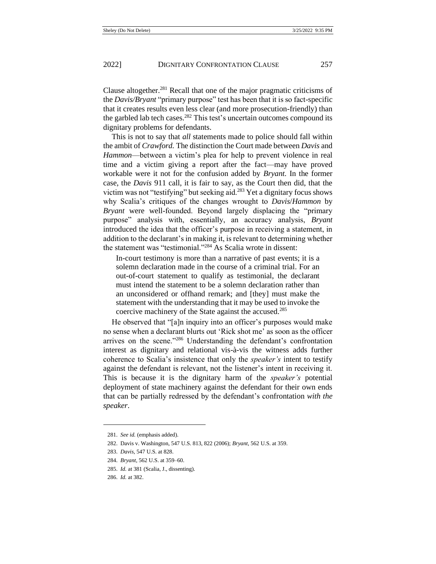Clause altogether. $^{281}$  Recall that one of the major pragmatic criticisms of the *Davis/Bryant* "primary purpose" test has been that it is so fact-specific that it creates results even less clear (and more prosecution-friendly) than the garbled lab tech cases.<sup>282</sup> This test's uncertain outcomes compound its dignitary problems for defendants.

This is not to say that *all* statements made to police should fall within the ambit of *Crawford.* The distinction the Court made between *Davis* and *Hammon*—between a victim's plea for help to prevent violence in real time and a victim giving a report after the fact—may have proved workable were it not for the confusion added by *Bryant.* In the former case, the *Davis* 911 call, it is fair to say, as the Court then did, that the victim was not "testifying" but seeking aid.<sup>283</sup> Yet a dignitary focus shows why Scalia's critiques of the changes wrought to *Davis*/*Hammon* by *Bryant* were well-founded. Beyond largely displacing the "primary purpose" analysis with, essentially, an accuracy analysis, *Bryant*  introduced the idea that the officer's purpose in receiving a statement, in addition to the declarant's in making it, is relevant to determining whether the statement was "testimonial."<sup>284</sup> As Scalia wrote in dissent:

In-court testimony is more than a narrative of past events; it is a solemn declaration made in the course of a criminal trial. For an out-of-court statement to qualify as testimonial, the declarant must intend the statement to be a solemn declaration rather than an unconsidered or offhand remark; and [they] must make the statement with the understanding that it may be used to invoke the coercive machinery of the State against the accused.<sup>285</sup>

He observed that "[a]n inquiry into an officer's purposes would make no sense when a declarant blurts out 'Rick shot me' as soon as the officer arrives on the scene."<sup>286</sup> Understanding the defendant's confrontation interest as dignitary and relational vis-à-vis the witness adds further coherence to Scalia's insistence that only the *speaker's* intent to testify against the defendant is relevant, not the listener's intent in receiving it. This is because it is the dignitary harm of the *speaker's* potential deployment of state machinery against the defendant for their own ends that can be partially redressed by the defendant's confrontation *with the speaker*.

<sup>281.</sup> *See id.* (emphasis added).

<sup>282.</sup> Davis v. Washington, 547 U.S. 813, 822 (2006); *Bryant*, 562 U.S. at 359.

<sup>283.</sup> *Davis*, 547 U.S. at 828.

<sup>284.</sup> *Bryant*, 562 U.S. at 359–60.

<sup>285.</sup> *Id.* at 381 (Scalia, J., dissenting).

<sup>286.</sup> *Id.* at 382.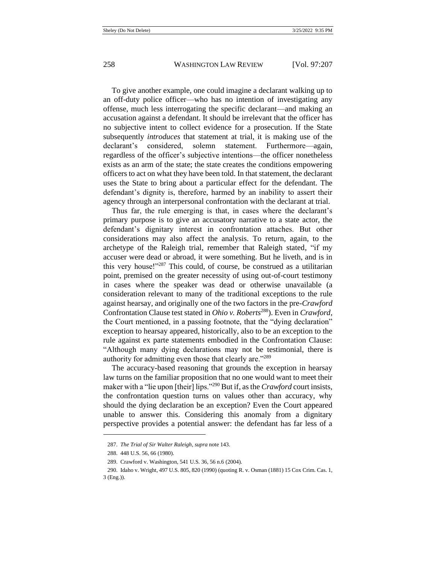To give another example, one could imagine a declarant walking up to an off-duty police officer—who has no intention of investigating any offense, much less interrogating the specific declarant—and making an accusation against a defendant. It should be irrelevant that the officer has no subjective intent to collect evidence for a prosecution. If the State subsequently *introduces* that statement at trial, it is making use of the declarant's considered, solemn statement. Furthermore—again, regardless of the officer's subjective intentions—the officer nonetheless exists as an arm of the state; the state creates the conditions empowering officers to act on what they have been told. In that statement, the declarant uses the State to bring about a particular effect for the defendant. The defendant's dignity is, therefore, harmed by an inability to assert their agency through an interpersonal confrontation with the declarant at trial.

Thus far, the rule emerging is that, in cases where the declarant's primary purpose is to give an accusatory narrative to a state actor, the defendant's dignitary interest in confrontation attaches. But other considerations may also affect the analysis. To return, again, to the archetype of the Raleigh trial, remember that Raleigh stated, "if my accuser were dead or abroad, it were something. But he liveth, and is in this very house!"<sup>287</sup> This could, of course, be construed as a utilitarian point, premised on the greater necessity of using out-of-court testimony in cases where the speaker was dead or otherwise unavailable (a consideration relevant to many of the traditional exceptions to the rule against hearsay, and originally one of the two factors in the pre-*Crawford*  Confrontation Clause test stated in *Ohio v. Roberts*<sup>288</sup>). Even in *Crawford*, the Court mentioned, in a passing footnote, that the "dying declaration" exception to hearsay appeared, historically, also to be an exception to the rule against ex parte statements embodied in the Confrontation Clause: "Although many dying declarations may not be testimonial, there is authority for admitting even those that clearly are."<sup>289</sup>

The accuracy-based reasoning that grounds the exception in hearsay law turns on the familiar proposition that no one would want to meet their maker with a "lie upon [their] lips."<sup>290</sup> But if, as the *Crawford* court insists, the confrontation question turns on values other than accuracy, why should the dying declaration be an exception? Even the Court appeared unable to answer this. Considering this anomaly from a dignitary perspective provides a potential answer: the defendant has far less of a

<sup>287.</sup> *The Trial of Sir Walter Raleigh*, *supra* not[e 143.](#page-23-0)

<sup>288.</sup> 448 U.S. 56, 66 (1980).

<sup>289.</sup> Crawford v. Washington, 541 U.S. 36, 56 n.6 (2004).

<sup>290.</sup> Idaho v. Wright, 497 U.S. 805, 820 (1990) (quoting R. v. Osman (1881) 15 Cox Crim. Cas. 1, 3 (Eng.)).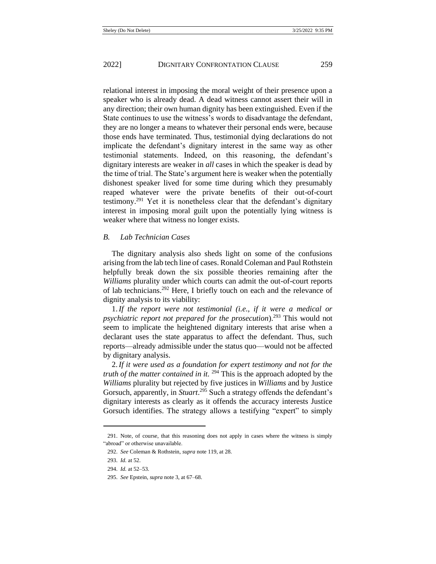relational interest in imposing the moral weight of their presence upon a speaker who is already dead. A dead witness cannot assert their will in any direction; their own human dignity has been extinguished. Even if the State continues to use the witness's words to disadvantage the defendant, they are no longer a means to whatever their personal ends were, because those ends have terminated. Thus, testimonial dying declarations do not implicate the defendant's dignitary interest in the same way as other testimonial statements. Indeed, on this reasoning, the defendant's dignitary interests are weaker in *all* cases in which the speaker is dead by the time of trial. The State's argument here is weaker when the potentially dishonest speaker lived for some time during which they presumably reaped whatever were the private benefits of their out-of-court testimony.<sup>291</sup> Yet it is nonetheless clear that the defendant's dignitary interest in imposing moral guilt upon the potentially lying witness is weaker where that witness no longer exists.

#### *B. Lab Technician Cases*

The dignitary analysis also sheds light on some of the confusions arising from the lab tech line of cases. Ronald Coleman and Paul Rothstein helpfully break down the six possible theories remaining after the *Williams* plurality under which courts can admit the out-of-court reports of lab technicians.<sup>292</sup> Here, I briefly touch on each and the relevance of dignity analysis to its viability:

1.*If the report were not testimonial (i.e., if it were a medical or psychiatric report not prepared for the prosecution*).<sup>293</sup> This would not seem to implicate the heightened dignitary interests that arise when a declarant uses the state apparatus to affect the defendant. Thus, such reports—already admissible under the status quo—would not be affected by dignitary analysis.

2.*If it were used as a foundation for expert testimony and not for the truth of the matter contained in it.* <sup>294</sup> This is the approach adopted by the *Williams* plurality but rejected by five justices in *Williams* and by Justice Gorsuch, apparently, in *Stuart*.<sup>295</sup> Such a strategy offends the defendant's dignitary interests as clearly as it offends the accuracy interests Justice Gorsuch identifies. The strategy allows a testifying "expert" to simply

<sup>291.</sup> Note, of course, that this reasoning does not apply in cases where the witness is simply "abroad" or otherwise unavailable.

<sup>292.</sup> *See* Coleman & Rothstein, *supra* not[e 119,](#page-19-0) at 28.

<sup>293.</sup> *Id.* at 52.

<sup>294.</sup> *Id.* at 52–53.

<sup>295.</sup> *See* Epstein, *supra* not[e 3,](#page-2-0) at 67–68.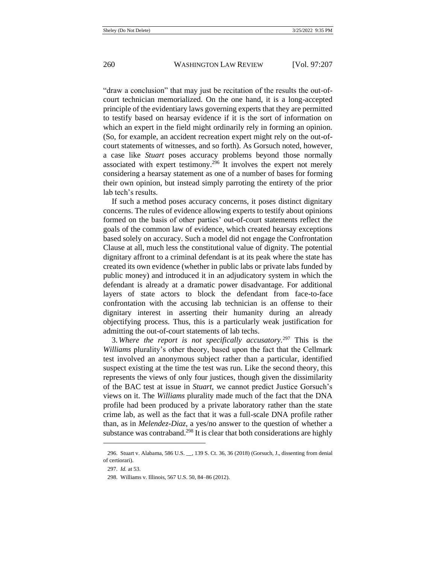"draw a conclusion" that may just be recitation of the results the out-ofcourt technician memorialized. On the one hand, it is a long-accepted principle of the evidentiary laws governing experts that they are permitted to testify based on hearsay evidence if it is the sort of information on which an expert in the field might ordinarily rely in forming an opinion. (So, for example, an accident recreation expert might rely on the out-ofcourt statements of witnesses, and so forth). As Gorsuch noted, however, a case like *Stuart* poses accuracy problems beyond those normally associated with expert testimony.<sup>296</sup> It involves the expert not merely considering a hearsay statement as one of a number of bases for forming their own opinion, but instead simply parroting the entirety of the prior lab tech's results.

If such a method poses accuracy concerns, it poses distinct dignitary concerns. The rules of evidence allowing experts to testify about opinions formed on the basis of other parties' out-of-court statements reflect the goals of the common law of evidence, which created hearsay exceptions based solely on accuracy. Such a model did not engage the Confrontation Clause at all, much less the constitutional value of dignity. The potential dignitary affront to a criminal defendant is at its peak where the state has created its own evidence (whether in public labs or private labs funded by public money) and introduced it in an adjudicatory system in which the defendant is already at a dramatic power disadvantage. For additional layers of state actors to block the defendant from face-to-face confrontation with the accusing lab technician is an offense to their dignitary interest in asserting their humanity during an already objectifying process. Thus, this is a particularly weak justification for admitting the out-of-court statements of lab techs.

3. *Where the report is not specifically accusatory.*<sup>297</sup> This is the *Williams* plurality's other theory, based upon the fact that the Cellmark test involved an anonymous subject rather than a particular, identified suspect existing at the time the test was run. Like the second theory, this represents the views of only four justices, though given the dissimilarity of the BAC test at issue in *Stuart*, we cannot predict Justice Gorsuch's views on it. The *Williams* plurality made much of the fact that the DNA profile had been produced by a private laboratory rather than the state crime lab, as well as the fact that it was a full-scale DNA profile rather than, as in *Melendez-Diaz*, a yes/no answer to the question of whether a substance was contraband.<sup>298</sup> It is clear that both considerations are highly

<sup>296.</sup> Stuart v. Alabama, 586 U.S. \_\_, 139 S. Ct. 36, 36 (2018) (Gorsuch, J., dissenting from denial of certiorari).

<sup>297.</sup> *Id.* at 53.

<sup>298.</sup> Williams v. Illinois, 567 U.S. 50, 84–86 (2012).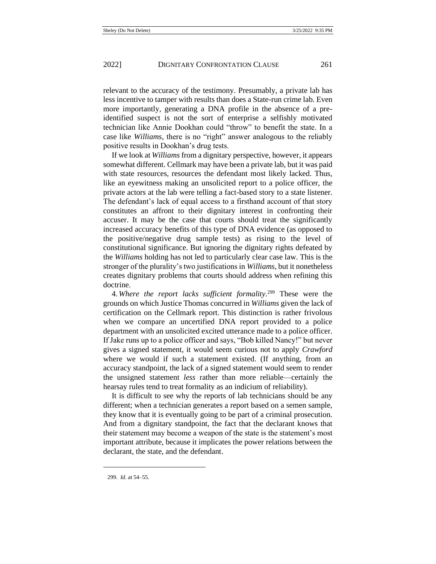relevant to the accuracy of the testimony. Presumably, a private lab has less incentive to tamper with results than does a State-run crime lab. Even more importantly, generating a DNA profile in the absence of a preidentified suspect is not the sort of enterprise a selfishly motivated technician like Annie Dookhan could "throw" to benefit the state. In a case like *Williams*, there is no "right" answer analogous to the reliably positive results in Dookhan's drug tests.

If we look at *Williams* from a dignitary perspective, however, it appears somewhat different. Cellmark may have been a private lab, but it was paid with state resources, resources the defendant most likely lacked. Thus, like an eyewitness making an unsolicited report to a police officer, the private actors at the lab were telling a fact-based story to a state listener. The defendant's lack of equal access to a firsthand account of that story constitutes an affront to their dignitary interest in confronting their accuser. It may be the case that courts should treat the significantly increased accuracy benefits of this type of DNA evidence (as opposed to the positive/negative drug sample tests) as rising to the level of constitutional significance. But ignoring the dignitary rights defeated by the *Williams* holding has not led to particularly clear case law. This is the stronger of the plurality's two justifications in *Williams*, but it nonetheless creates dignitary problems that courts should address when refining this doctrine.

4. *Where the report lacks sufficient formality*. <sup>299</sup> These were the grounds on which Justice Thomas concurred in *Williams* given the lack of certification on the Cellmark report. This distinction is rather frivolous when we compare an uncertified DNA report provided to a police department with an unsolicited excited utterance made to a police officer. If Jake runs up to a police officer and says, "Bob killed Nancy!" but never gives a signed statement, it would seem curious not to apply *Crawford*  where we would if such a statement existed. (If anything, from an accuracy standpoint, the lack of a signed statement would seem to render the unsigned statement *less* rather than more reliable—certainly the hearsay rules tend to treat formality as an indicium of reliability).

It is difficult to see why the reports of lab technicians should be any different; when a technician generates a report based on a semen sample, they know that it is eventually going to be part of a criminal prosecution. And from a dignitary standpoint, the fact that the declarant knows that their statement may become a weapon of the state is the statement's most important attribute, because it implicates the power relations between the declarant, the state, and the defendant.

<sup>299.</sup> *Id.* at 54–55.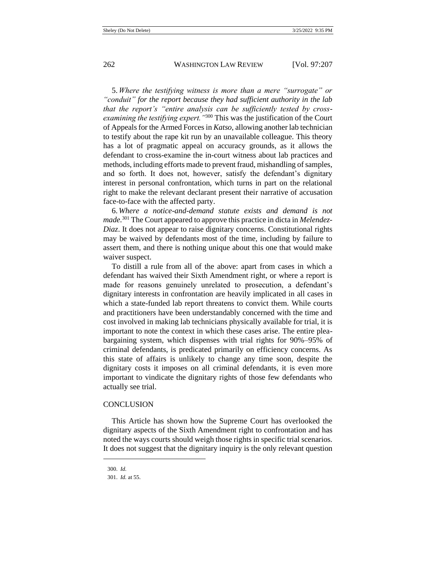5. *Where the testifying witness is more than a mere "surrogate" or "conduit" for the report because they had sufficient authority in the lab that the report's "entire analysis can be sufficiently tested by crossexamining the testifying expert."*<sup>300</sup> This was the justification of the Court of Appeals for the Armed Forces in *Katso*, allowing another lab technician to testify about the rape kit run by an unavailable colleague. This theory has a lot of pragmatic appeal on accuracy grounds, as it allows the defendant to cross-examine the in-court witness about lab practices and methods, including efforts made to prevent fraud, mishandling of samples, and so forth. It does not, however, satisfy the defendant's dignitary interest in personal confrontation, which turns in part on the relational right to make the relevant declarant present their narrative of accusation face-to-face with the affected party.

6. *Where a notice-and-demand statute exists and demand is not made.*<sup>301</sup> The Court appeared to approve this practice in dicta in *Melendez-Diaz*. It does not appear to raise dignitary concerns. Constitutional rights may be waived by defendants most of the time, including by failure to assert them, and there is nothing unique about this one that would make waiver suspect.

To distill a rule from all of the above: apart from cases in which a defendant has waived their Sixth Amendment right, or where a report is made for reasons genuinely unrelated to prosecution, a defendant's dignitary interests in confrontation are heavily implicated in all cases in which a state-funded lab report threatens to convict them. While courts and practitioners have been understandably concerned with the time and cost involved in making lab technicians physically available for trial, it is important to note the context in which these cases arise. The entire pleabargaining system, which dispenses with trial rights for 90%–95% of criminal defendants, is predicated primarily on efficiency concerns. As this state of affairs is unlikely to change any time soon, despite the dignitary costs it imposes on all criminal defendants, it is even more important to vindicate the dignitary rights of those few defendants who actually see trial.

#### **CONCLUSION**

This Article has shown how the Supreme Court has overlooked the dignitary aspects of the Sixth Amendment right to confrontation and has noted the ways courts should weigh those rights in specific trial scenarios. It does not suggest that the dignitary inquiry is the only relevant question

<sup>300.</sup> *Id.*

<sup>301.</sup> *Id.* at 55.